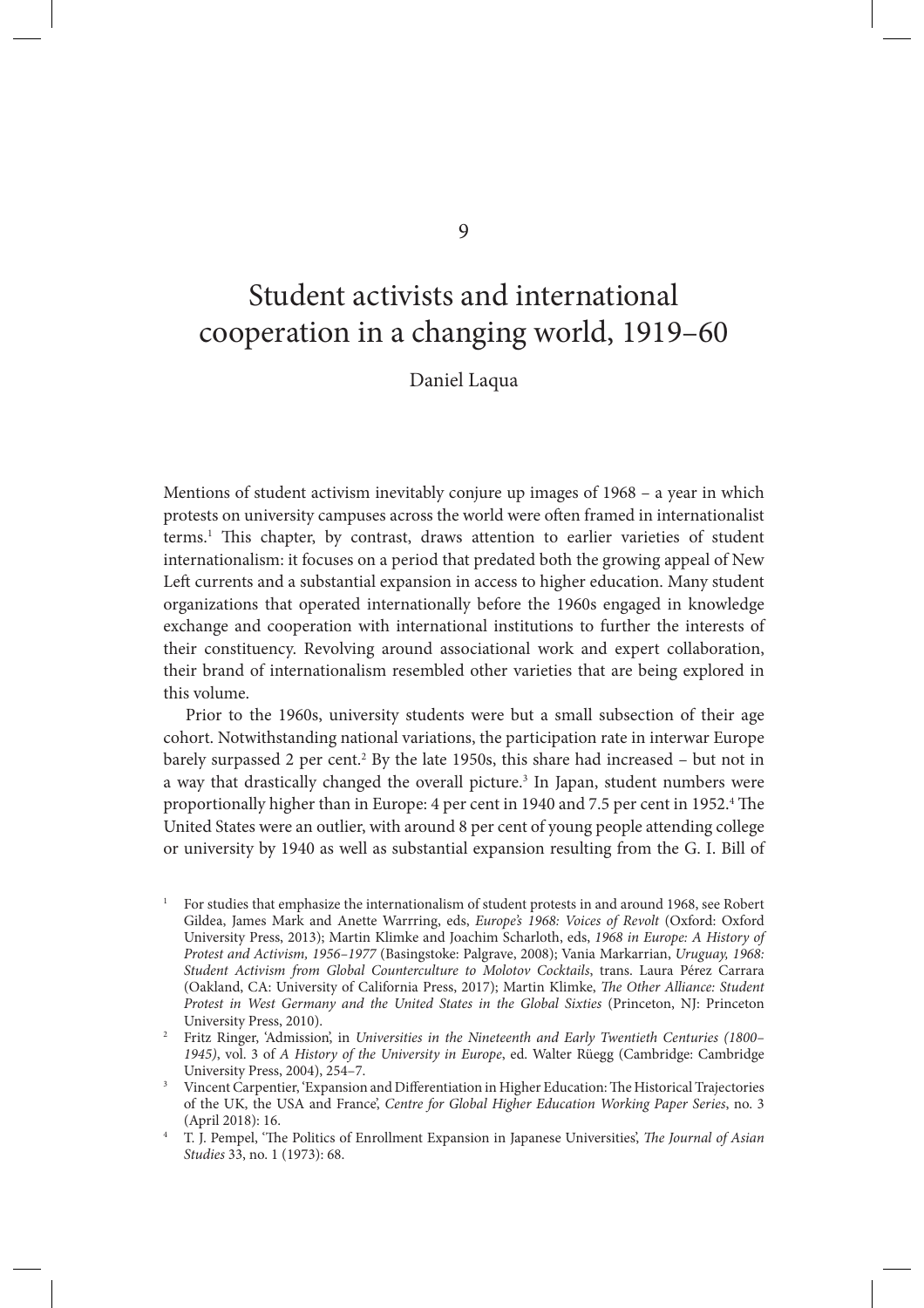Student activists and international cooperation in a changing world, 1919–60

Daniel Laqua

Mentions of student activism inevitably conjure up images of 1968 – a year in which protests on university campuses across the world were often framed in internationalist terms.<sup>1</sup> This chapter, by contrast, draws attention to earlier varieties of student internationalism: it focuses on a period that predated both the growing appeal of New Left currents and a substantial expansion in access to higher education. Many student organizations that operated internationally before the 1960s engaged in knowledge exchange and cooperation with international institutions to further the interests of their constituency. Revolving around associational work and expert collaboration, their brand of internationalism resembled other varieties that are being explored in this volume.

Prior to the 1960s, university students were but a small subsection of their age cohort. Notwithstanding national variations, the participation rate in interwar Europe barely surpassed 2 per cent.<sup>2</sup> By the late 1950s, this share had increased – but not in a way that drastically changed the overall picture.<sup>3</sup> In Japan, student numbers were proportionally higher than in Europe: 4 per cent in 1940 and 7.5 per cent in 1952.<sup>4</sup> The United States were an outlier, with around 8 per cent of young people attending college or university by 1940 as well as substantial expansion resulting from the G. I. Bill of

9

<sup>1</sup> For studies that emphasize the internationalism of student protests in and around 1968, see Robert Gildea, James Mark and Anette Warrring, eds, *Europe's 1968: Voices of Revolt* (Oxford: Oxford University Press, 2013); Martin Klimke and Joachim Scharloth, eds, *1968 in Europe: A History of Protest and Activism, 1956–1977* (Basingstoke: Palgrave, 2008); Vania Markarrian, *Uruguay, 1968: Student Activism from Global Counterculture to Molotov Cocktails*, trans. Laura Pérez Carrara (Oakland, CA: University of California Press, 2017); Martin Klimke, *The Other Alliance: Student Protest in West Germany and the United States in the Global Sixties* (Princeton, NJ: Princeton University Press, 2010).

<sup>2</sup> Fritz Ringer, 'Admission', in *Universities in the Nineteenth and Early Twentieth Centuries (1800– 1945)*, vol. 3 of *A History of the University in Europe*, ed. Walter Rüegg (Cambridge: Cambridge University Press, 2004), 254–7.

<sup>&</sup>lt;sup>3</sup> Vincent Carpentier, 'Expansion and Differentiation in Higher Education: The Historical Trajectories of the UK, the USA and France', *Centre for Global Higher Education Working Paper Series*, no. 3 (April 2018): 16.

<sup>&</sup>lt;sup>4</sup> T. J. Pempel, 'The Politics of Enrollment Expansion in Japanese Universities', *The Journal of Asian Studies* 33, no. 1 (1973): 68.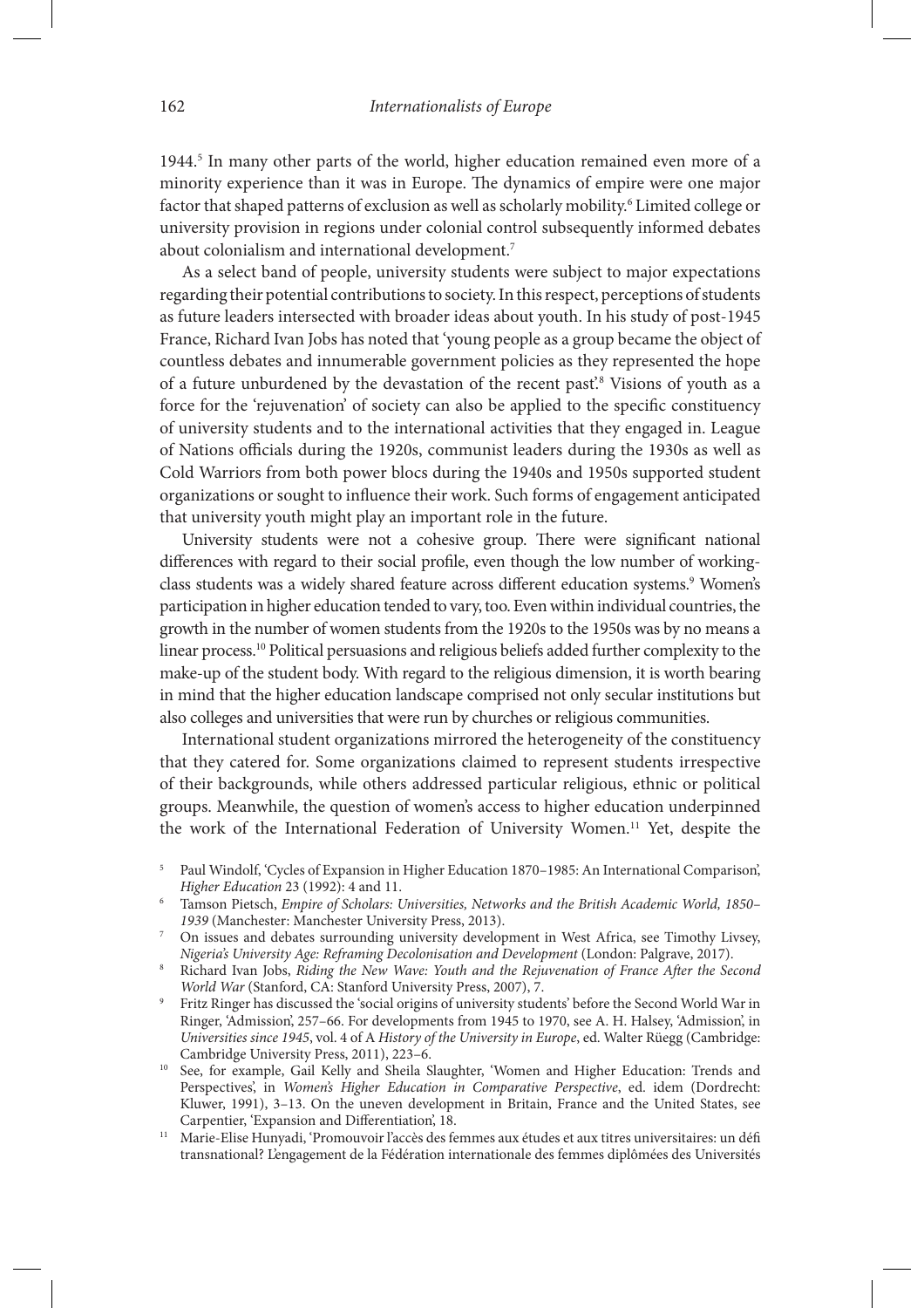1944.<sup>5</sup> In many other parts of the world, higher education remained even more of a minority experience than it was in Europe. The dynamics of empire were one major factor that shaped patterns of exclusion as well as scholarly mobility.<sup>6</sup> Limited college or university provision in regions under colonial control subsequently informed debates about colonialism and international development.<sup>7</sup>

As a select band of people, university students were subject to major expectations regarding their potential contributions to society. In this respect, perceptions of students as future leaders intersected with broader ideas about youth. In his study of post-1945 France, Richard Ivan Jobs has noted that 'young people as a group became the object of countless debates and innumerable government policies as they represented the hope of a future unburdened by the devastation of the recent past'.<sup>8</sup> Visions of youth as a force for the 'rejuvenation' of society can also be applied to the specific constituency of university students and to the international activities that they engaged in. League of Nations officials during the 1920s, communist leaders during the 1930s as well as Cold Warriors from both power blocs during the 1940s and 1950s supported student organizations or sought to influence their work. Such forms of engagement anticipated that university youth might play an important role in the future.

University students were not a cohesive group. There were significant national differences with regard to their social profile, even though the low number of workingclass students was a widely shared feature across different education systems.<sup>9</sup> Women's participation in higher education tended to vary, too. Even within individual countries, the growth in the number of women students from the 1920s to the 1950s was by no means a linear process.<sup>10</sup> Political persuasions and religious beliefs added further complexity to the make-up of the student body. With regard to the religious dimension, it is worth bearing in mind that the higher education landscape comprised not only secular institutions but also colleges and universities that were run by churches or religious communities.

International student organizations mirrored the heterogeneity of the constituency that they catered for. Some organizations claimed to represent students irrespective of their backgrounds, while others addressed particular religious, ethnic or political groups. Meanwhile, the question of women's access to higher education underpinned the work of the International Federation of University Women.11 Yet, despite the

- <sup>9</sup> Fritz Ringer has discussed the 'social origins of university students' before the Second World War in Ringer, 'Admission', 257–66. For developments from 1945 to 1970, see A. H. Halsey, 'Admission', in *Universities since 1945*, vol. 4 of A *History of the University in Europe*, ed. Walter Rüegg (Cambridge: Cambridge University Press, 2011), 223–6.
- <sup>10</sup> See, for example, Gail Kelly and Sheila Slaughter, 'Women and Higher Education: Trends and Perspectives', in *Women's Higher Education in Comparative Perspective*, ed. idem (Dordrecht: Kluwer, 1991), 3–13. On the uneven development in Britain, France and the United States, see Carpentier, 'Expansion and Differentiation', 18.
- <sup>11</sup> Marie-Elise Hunyadi, 'Promouvoir l'accès des femmes aux études et aux titres universitaires: un défi transnational? L'engagement de la Fédération internationale des femmes diplômées des Universités

<sup>5</sup> Paul Windolf, 'Cycles of Expansion in Higher Education 1870–1985: An International Comparison', *Higher Education* 23 (1992): 4 and 11.

<sup>6</sup> Tamson Pietsch, *Empire of Scholars: Universities, Networks and the British Academic World, 1850– 1939* (Manchester: Manchester University Press, 2013).

<sup>7</sup> On issues and debates surrounding university development in West Africa, see Timothy Livsey, *Nigeria's University Age: Reframing Decolonisation and Development* (London: Palgrave, 2017).

<sup>8</sup> Richard Ivan Jobs, *Riding the New Wave: Youth and the Rejuvenation of France A*\**er the Second World War* (Stanford, CA: Stanford University Press, 2007), 7.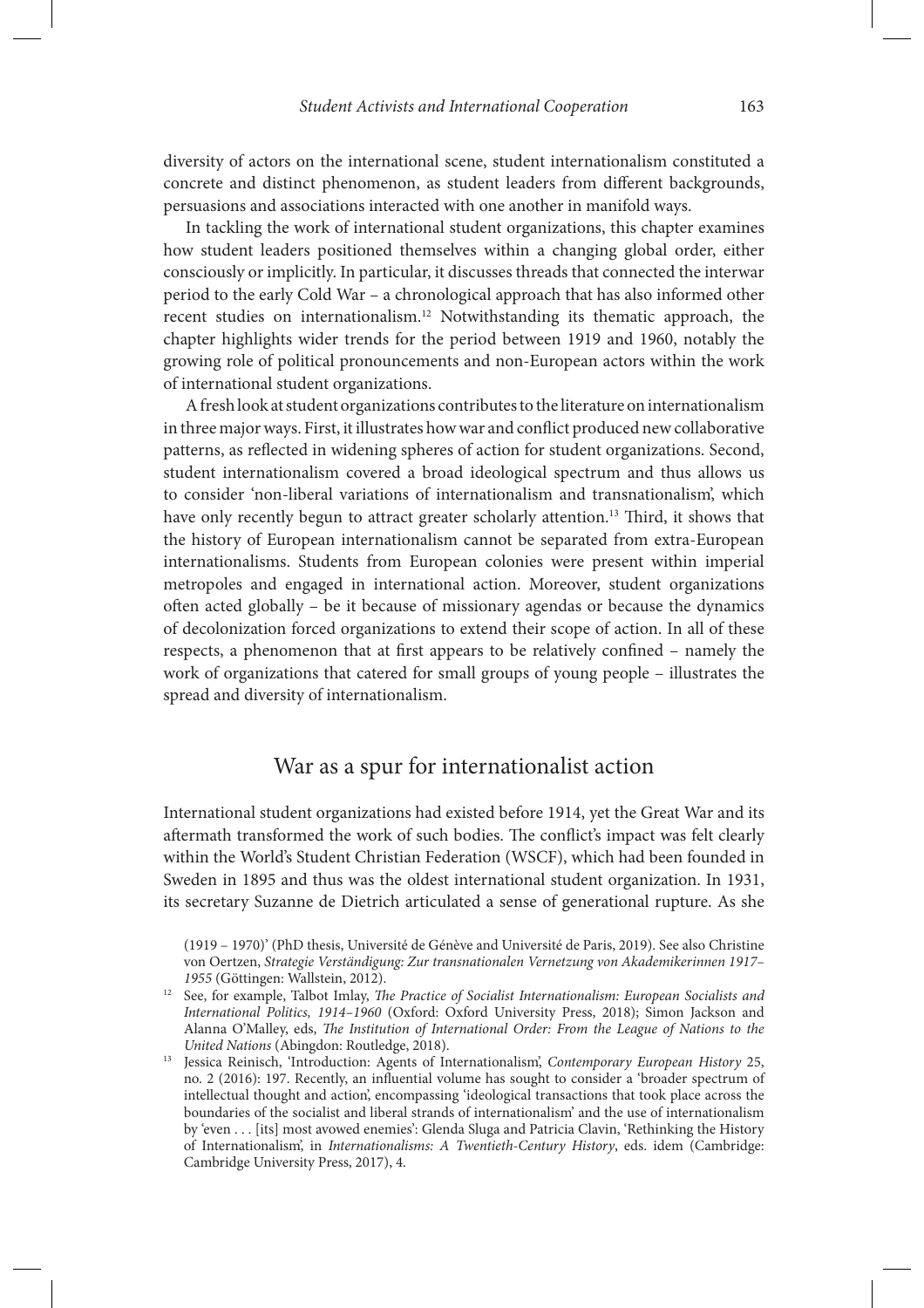diversity of actors on the international scene, student internationalism constituted a concrete and distinct phenomenon, as student leaders from different backgrounds, persuasions and associations interacted with one another in manifold ways.

In tackling the work of international student organizations, this chapter examines how student leaders positioned themselves within a changing global order, either consciously or implicitly. In particular, it discusses threads that connected the interwar period to the early Cold War – a chronological approach that has also informed other recent studies on internationalism.12 Notwithstanding its thematic approach, the chapter highlights wider trends for the period between 1919 and 1960, notably the growing role of political pronouncements and non-European actors within the work of international student organizations.

A fresh look at student organizations contributes to the literature on internationalism in three major ways. First, it illustrates how war and conflict produced new collaborative patterns, as reflected in widening spheres of action for student organizations. Second, student internationalism covered a broad ideological spectrum and thus allows us to consider 'non-liberal variations of internationalism and transnationalism', which have only recently begun to attract greater scholarly attention.<sup>13</sup> Third, it shows that the history of European internationalism cannot be separated from extra-European internationalisms. Students from European colonies were present within imperial metropoles and engaged in international action. Moreover, student organizations often acted globally – be it because of missionary agendas or because the dynamics of decolonization forced organizations to extend their scope of action. In all of these respects, a phenomenon that at first appears to be relatively confined – namely the work of organizations that catered for small groups of young people – illustrates the spread and diversity of internationalism.

# War as a spur for internationalist action

International student organizations had existed before 1914, yet the Great War and its aftermath transformed the work of such bodies. The conflict's impact was felt clearly within the World's Student Christian Federation (WSCF), which had been founded in Sweden in 1895 and thus was the oldest international student organization. In 1931, its secretary Suzanne de Dietrich articulated a sense of generational rupture. As she

<sup>(1919 – 1970)&#</sup>x27; (PhD thesis, Université de Génève and Université de Paris, 2019). See also Christine von Oertzen, *Strategie Verständigung: Zur transnationalen Vernetzung von Akademikerinnen 1917– 1955* (Göttingen: Wallstein, 2012).

<sup>&</sup>lt;sup>12</sup> See, for example, Talbot Imlay, *The Practice of Socialist Internationalism: European Socialists and International Politics, 1914–1960* (Oxford: Oxford University Press, 2018); Simon Jackson and Alanna O'Malley, eds, *The Institution of International Order: From the League of Nations to the United Nations* (Abingdon: Routledge, 2018).

<sup>13</sup> Jessica Reinisch, 'Introduction: Agents of Internationalism', *Contemporary European History* 25, no. 2 (2016): 197. Recently, an influential volume has sought to consider a 'broader spectrum of intellectual thought and action', encompassing 'ideological transactions that took place across the boundaries of the socialist and liberal strands of internationalism' and the use of internationalism by 'even . . . [its] most avowed enemies': Glenda Sluga and Patricia Clavin, 'Rethinking the History of Internationalism', in *Internationalisms: A Twentieth-Century History*, eds. idem (Cambridge: Cambridge University Press, 2017), 4.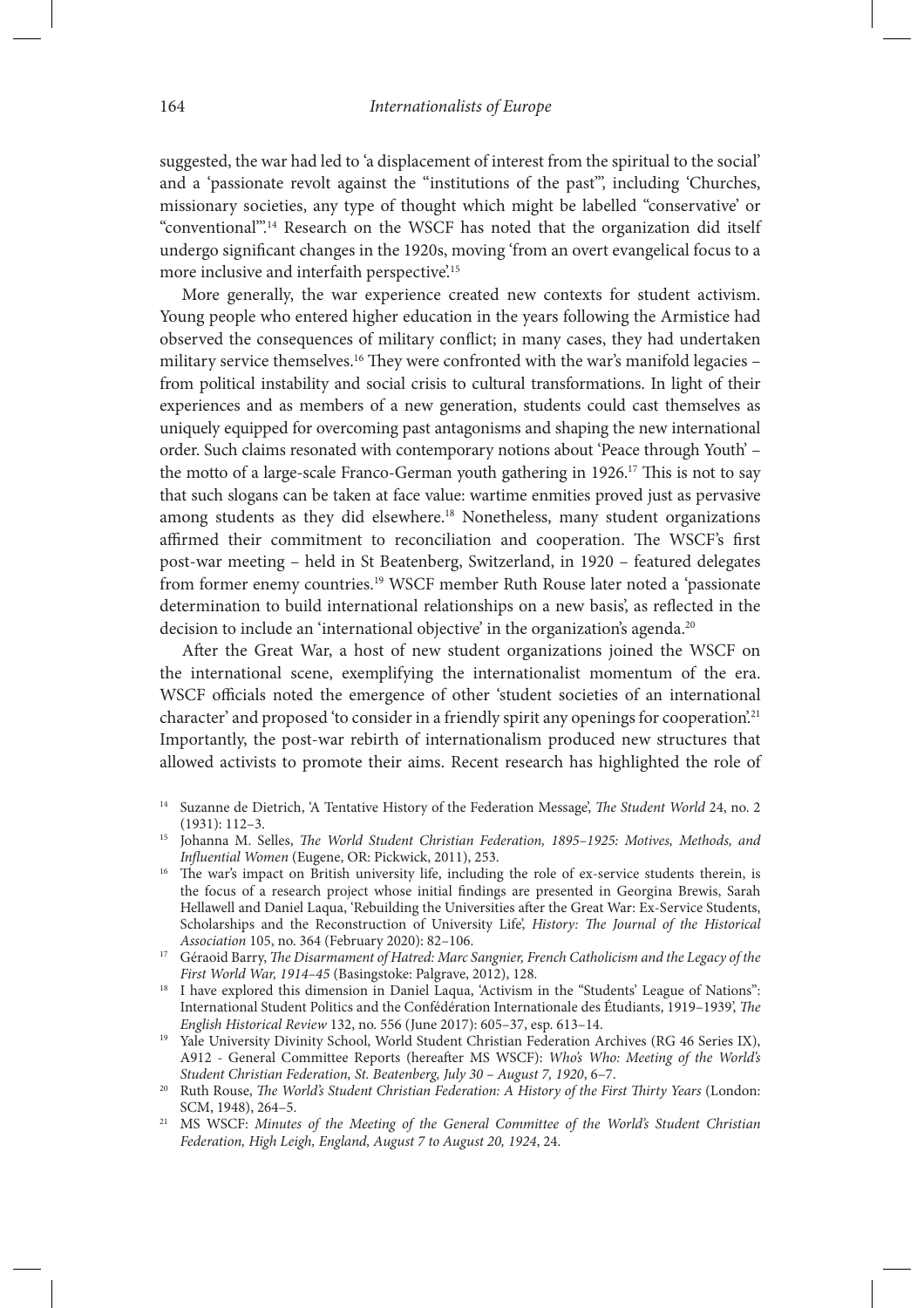suggested, the war had led to 'a displacement of interest from the spiritual to the social' and a 'passionate revolt against the "institutions of the past"', including 'Churches, missionary societies, any type of thought which might be labelled "conservative' or "conventional".<sup>14</sup> Research on the WSCF has noted that the organization did itself undergo significant changes in the 1920s, moving 'from an overt evangelical focus to a more inclusive and interfaith perspective.<sup>15</sup>

More generally, the war experience created new contexts for student activism. Young people who entered higher education in the years following the Armistice had observed the consequences of military conflict; in many cases, they had undertaken military service themselves.<sup>16</sup> They were confronted with the war's manifold legacies – from political instability and social crisis to cultural transformations. In light of their experiences and as members of a new generation, students could cast themselves as uniquely equipped for overcoming past antagonisms and shaping the new international order. Such claims resonated with contemporary notions about 'Peace through Youth' – the motto of a large-scale Franco-German youth gathering in 1926.<sup>17</sup> This is not to say that such slogans can be taken at face value: wartime enmities proved just as pervasive among students as they did elsewhere.<sup>18</sup> Nonetheless, many student organizations affirmed their commitment to reconciliation and cooperation. The WSCF's first post-war meeting – held in St Beatenberg, Switzerland, in 1920 – featured delegates from former enemy countries.19 WSCF member Ruth Rouse later noted a 'passionate determination to build international relationships on a new basis', as reflected in the decision to include an 'international objective' in the organization's agenda.<sup>20</sup>

After the Great War, a host of new student organizations joined the WSCF on the international scene, exemplifying the internationalist momentum of the era. WSCF officials noted the emergence of other 'student societies of an international character' and proposed 'to consider in a friendly spirit any openings for cooperation.<sup>21</sup> Importantly, the post-war rebirth of internationalism produced new structures that allowed activists to promote their aims. Recent research has highlighted the role of

- <sup>14</sup> Suzanne de Dietrich, 'A Tentative History of the Federation Message', *The Student World* 24, no. 2 (1931): 112–3.
- <sup>15</sup> Johanna M. Selles, *The World Student Christian Federation*, 1895–1925: Motives, Methods, and *In*,*uential Women* (Eugene, OR: Pickwick, 2011), 253.
- <sup>16</sup> The war's impact on British university life, including the role of ex-service students therein, is the focus of a research project whose initial findings are presented in Georgina Brewis, Sarah Hellawell and Daniel Laqua, 'Rebuilding the Universities after the Great War: Ex-Service Students, Scholarships and the Reconstruction of University Life', *History: The Journal of the Historical Association* 105, no. 364 (February 2020): 82–106.<br><sup>17</sup> Géraoid Barry, *The Disarmament of Hatred: Marc Sangnier, French Catholicism and the Legacy of the*
- *First World War, 1914–45* (Basingstoke: Palgrave, 2012), 128*.*
- <sup>18</sup> I have explored this dimension in Daniel Laqua, 'Activism in the "Students' League of Nations": International Student Politics and the Confédération Internationale des Étudiants, 1919-1939', *The English Historical Review* 132, no. 556 (June 2017): 605–37, esp. 613–14.
- <sup>19</sup> Yale University Divinity School, World Student Christian Federation Archives (RG 46 Series IX), A912 - General Committee Reports (hereafter MS WSCF): *Who's Who: Meeting of the World's Student Christian Federation, St. Beatenberg, July 30 – August 7, 1920*, 6–7.
- <sup>20</sup> Ruth Rouse, *The World's Student Christian Federation: A History of the First Thirty Years* (London: SCM, 1948), 264–5.
- <sup>21</sup> MS WSCF: *Minutes of the Meeting of the General Committee of the World's Student Christian Federation, High Leigh, England, August 7 to August 20, 1924*, 24.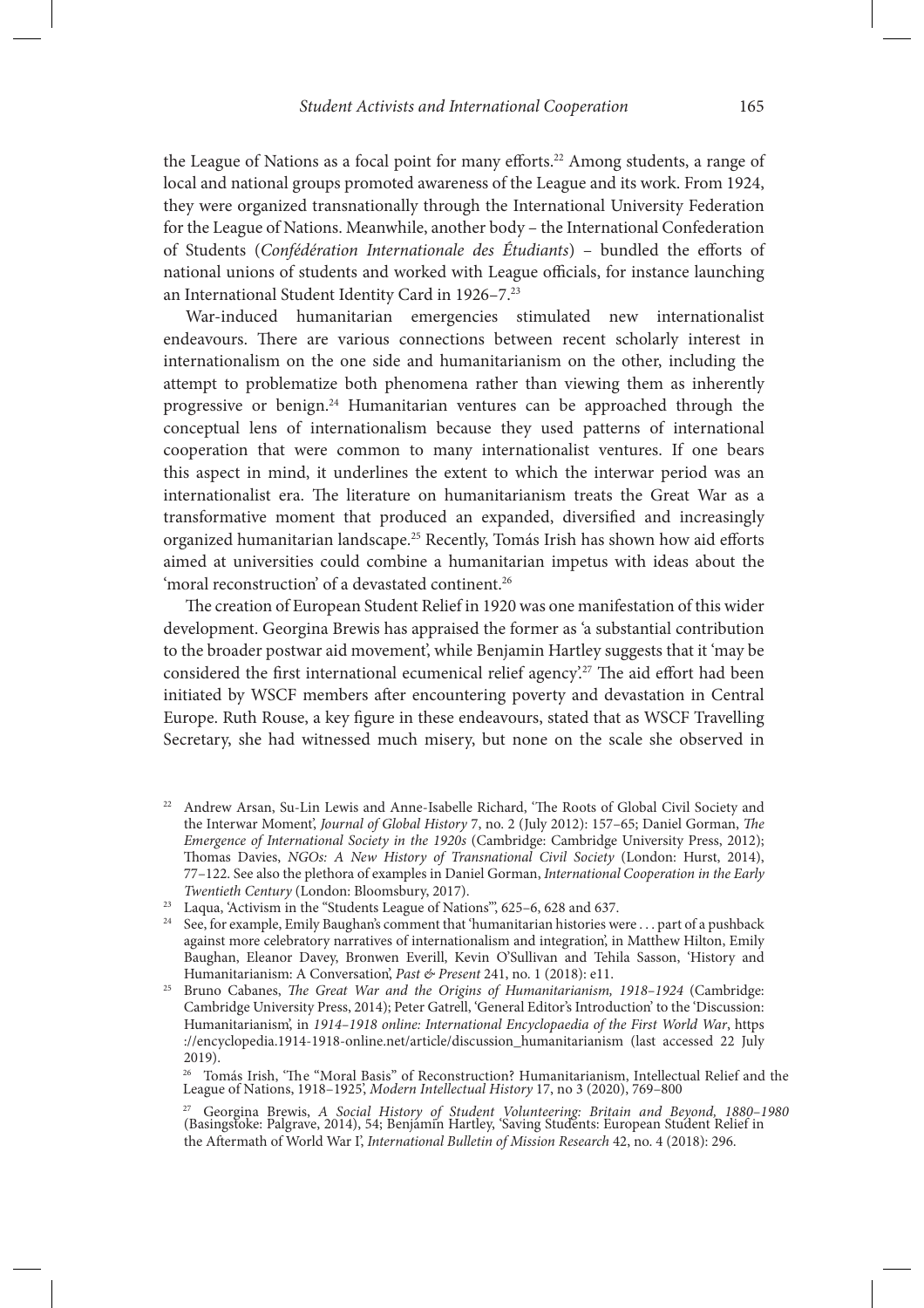the League of Nations as a focal point for many efforts.<sup>22</sup> Among students, a range of local and national groups promoted awareness of the League and its work. From 1924, they were organized transnationally through the International University Federation for the League of Nations. Meanwhile, another body – the International Confederation of Students (*Confédération Internationale des Étudiants*) – bundled the efforts of national unions of students and worked with League officials, for instance launching an International Student Identity Card in 1926–7.23

War-induced humanitarian emergencies stimulated new internationalist endeavours. There are various connections between recent scholarly interest in internationalism on the one side and humanitarianism on the other, including the attempt to problematize both phenomena rather than viewing them as inherently progressive or benign.24 Humanitarian ventures can be approached through the conceptual lens of internationalism because they used patterns of international cooperation that were common to many internationalist ventures. If one bears this aspect in mind, it underlines the extent to which the interwar period was an internationalist era. The literature on humanitarianism treats the Great War as a transformative moment that produced an expanded, diversified and increasingly organized humanitarian landscape.<sup>25</sup> Recently, Tomás Irish has shown how aid efforts aimed at universities could combine a humanitarian impetus with ideas about the 'moral reconstruction' of a devastated continent.<sup>26</sup>

The creation of European Student Relief in 1920 was one manifestation of this wider development. Georgina Brewis has appraised the former as 'a substantial contribution to the broader postwar aid movement', while Benjamin Hartley suggests that it 'may be considered the first international ecumenical relief agency.<sup>27</sup> The aid effort had been initiated by WSCF members after encountering poverty and devastation in Central Europe. Ruth Rouse, a key figure in these endeavours, stated that as WSCF Travelling Secretary, she had witnessed much misery, but none on the scale she observed in

- <sup>22</sup> Andrew Arsan, Su-Lin Lewis and Anne-Isabelle Richard, 'The Roots of Global Civil Society and the Interwar Moment', *Journal of Global History* 7, no. 2 (July 2012): 157-65; Daniel Gorman, *The Emergence of International Society in the 1920s* (Cambridge: Cambridge University Press, 2012); Thomas Davies, *NGOs: A New History of Transnational Civil Society* (London: Hurst, 2014), 77–122. See also the plethora of examples in Daniel Gorman, *International Cooperation in the Early Twentieth Century* (London: Bloomsbury, 2017).
- <sup>23</sup> Laqua, 'Activism in the "Students League of Nations", 625-6, 628 and 637.
- <sup>24</sup> See, for example, Emily Baughan's comment that 'humanitarian histories were . . . part of a pushback against more celebratory narratives of internationalism and integration', in Matthew Hilton, Emily Baughan, Eleanor Davey, Bronwen Everill, Kevin O'Sullivan and Tehila Sasson, 'History and Humanitarianism: A Conversation', *Past & Present* 241, no. 1 (2018): e11.
- <sup>25</sup> Bruno Cabanes, *The Great War and the Origins of Humanitarianism*, 1918–1924 (Cambridge: Cambridge University Press, 2014); Peter Gatrell, 'General Editor's Introduction' to the 'Discussion: Humanitarianism', in *1914–1918 online: International Encyclopaedia of the First World War*, https ://encyclopedia.1914-1918-online.net/article/discussion\_humanitarianism (last accessed 22 July 2019).

 $^{26}$  Tomás Irish, 'The "Moral Basis" of Reconstruction? Humanitarianism, Intellectual Relief and the League of Nations, 1918–1925', *Modern Intellectual History* 17, no 3 (2020), 769–800

<sup>27</sup> Georgina Brewis, *A Social History of Student Volunteering: Britain and Beyond, 1880–1980* (Basingstoke: Palgrave, 2014), 54; Benjamin Hartley, 'Saving Students: European Student Relief in the Aftermath of World War I', *International Bulletin of Mission Research* 42, no. 4 (2018): 296.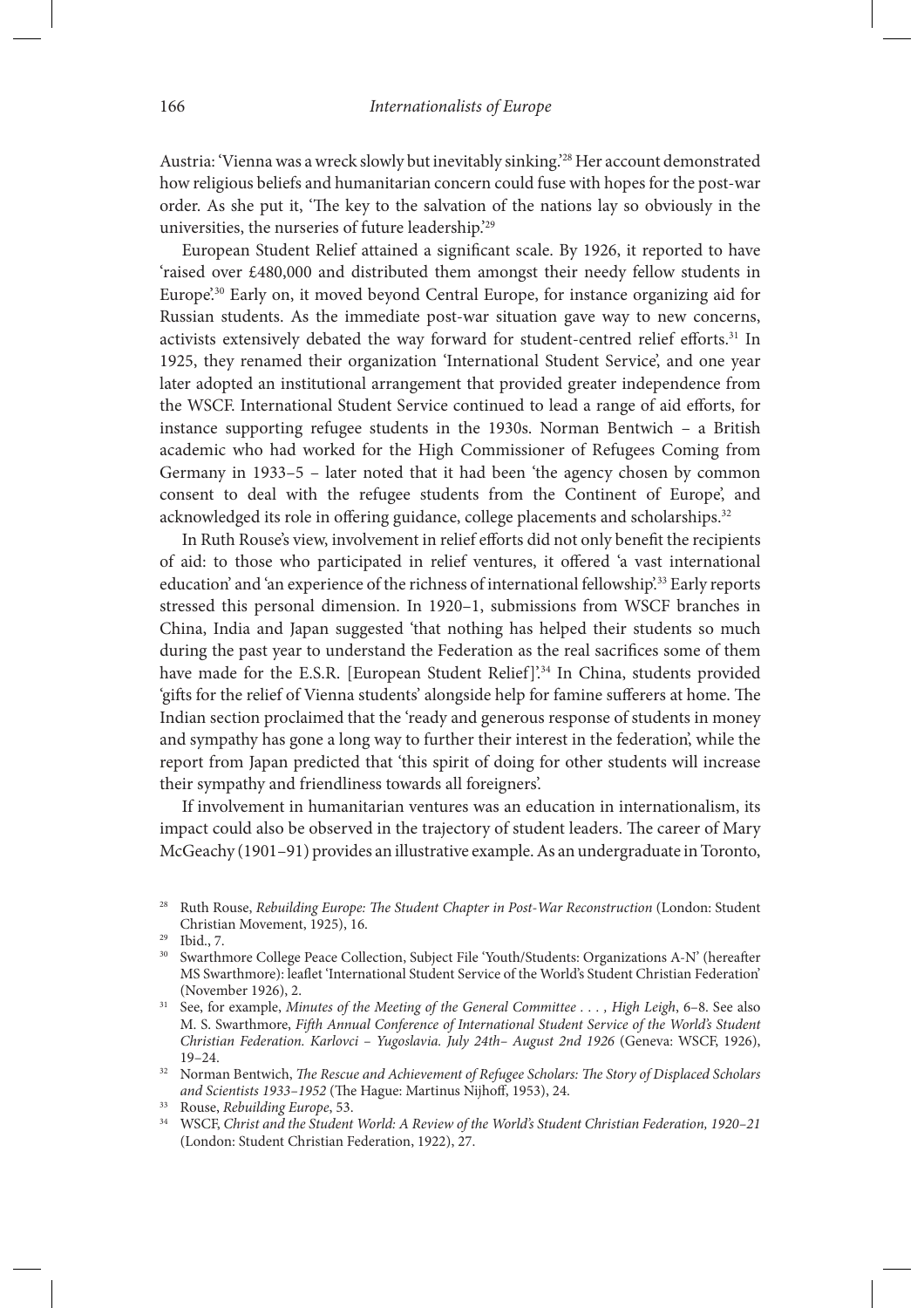Austria: 'Vienna was a wreck slowly but inevitably sinking.'28 Her account demonstrated how religious beliefs and humanitarian concern could fuse with hopes for the post-war order. As she put it, 'The key to the salvation of the nations lay so obviously in the universities, the nurseries of future leadership.'29

European Student Relief attained a significant scale. By 1926, it reported to have 'raised over £480,000 and distributed them amongst their needy fellow students in Europe'.<sup>30</sup> Early on, it moved beyond Central Europe, for instance organizing aid for Russian students. As the immediate post-war situation gave way to new concerns, activists extensively debated the way forward for student-centred relief efforts.<sup>31</sup> In 1925, they renamed their organization 'International Student Service', and one year later adopted an institutional arrangement that provided greater independence from the WSCF. International Student Service continued to lead a range of aid efforts, for instance supporting refugee students in the 1930s. Norman Bentwich – a British academic who had worked for the High Commissioner of Refugees Coming from Germany in 1933–5 – later noted that it had been 'the agency chosen by common consent to deal with the refugee students from the Continent of Europe', and acknowledged its role in offering guidance, college placements and scholarships.<sup>32</sup>

In Ruth Rouse's view, involvement in relief efforts did not only benefit the recipients of aid: to those who participated in relief ventures, it offered 'a vast international education' and 'an experience of the richness of international fellowship'.<sup>33</sup> Early reports stressed this personal dimension. In 1920–1, submissions from WSCF branches in China, India and Japan suggested 'that nothing has helped their students so much during the past year to understand the Federation as the real sacrifices some of them have made for the E.S.R. [European Student Relief]'.<sup>34</sup> In China, students provided 'gifts for the relief of Vienna students' alongside help for famine sufferers at home. The Indian section proclaimed that the 'ready and generous response of students in money and sympathy has gone a long way to further their interest in the federation', while the report from Japan predicted that 'this spirit of doing for other students will increase their sympathy and friendliness towards all foreigners'.

If involvement in humanitarian ventures was an education in internationalism, its impact could also be observed in the trajectory of student leaders. The career of Mary McGeachy (1901–91) provides an illustrative example. As an undergraduate in Toronto,

<sup>28</sup> Ruth Rouse, *Rebuilding Europe:* \$*e Student Chapter in Post-War Reconstruction* (London: Student Christian Movement, 1925), 16.

<sup>29</sup> Ibid., 7.

<sup>&</sup>lt;sup>30</sup> Swarthmore College Peace Collection, Subject File 'Youth/Students: Organizations A-N' (hereafter MS Swarthmore): leaflet 'International Student Service of the World's Student Christian Federation' (November 1926), 2.

<sup>31</sup> See, for example, *Minutes of the Meeting of the General Committee . . . , High Leigh*, 6–8. See also M. S. Swarthmore, *Fi*\**h Annual Conference of International Student Service of the World's Student Christian Federation. Karlovci – Yugoslavia. July 24th– August 2nd 1926* (Geneva: WSCF, 1926), 19–24.

<sup>&</sup>lt;sup>32</sup> Norman Bentwich, *The Rescue and Achievement of Refugee Scholars: The Story of Displaced Scholars* and Scientists 1933-1952 (The Hague: Martinus Nijhoff, 1953), 24.

<sup>33</sup> Rouse, *Rebuilding Europe*, 53.

<sup>34</sup> WSCF, *Christ and the Student World: A Review of the World's Student Christian Federation, 1920–21* (London: Student Christian Federation, 1922), 27.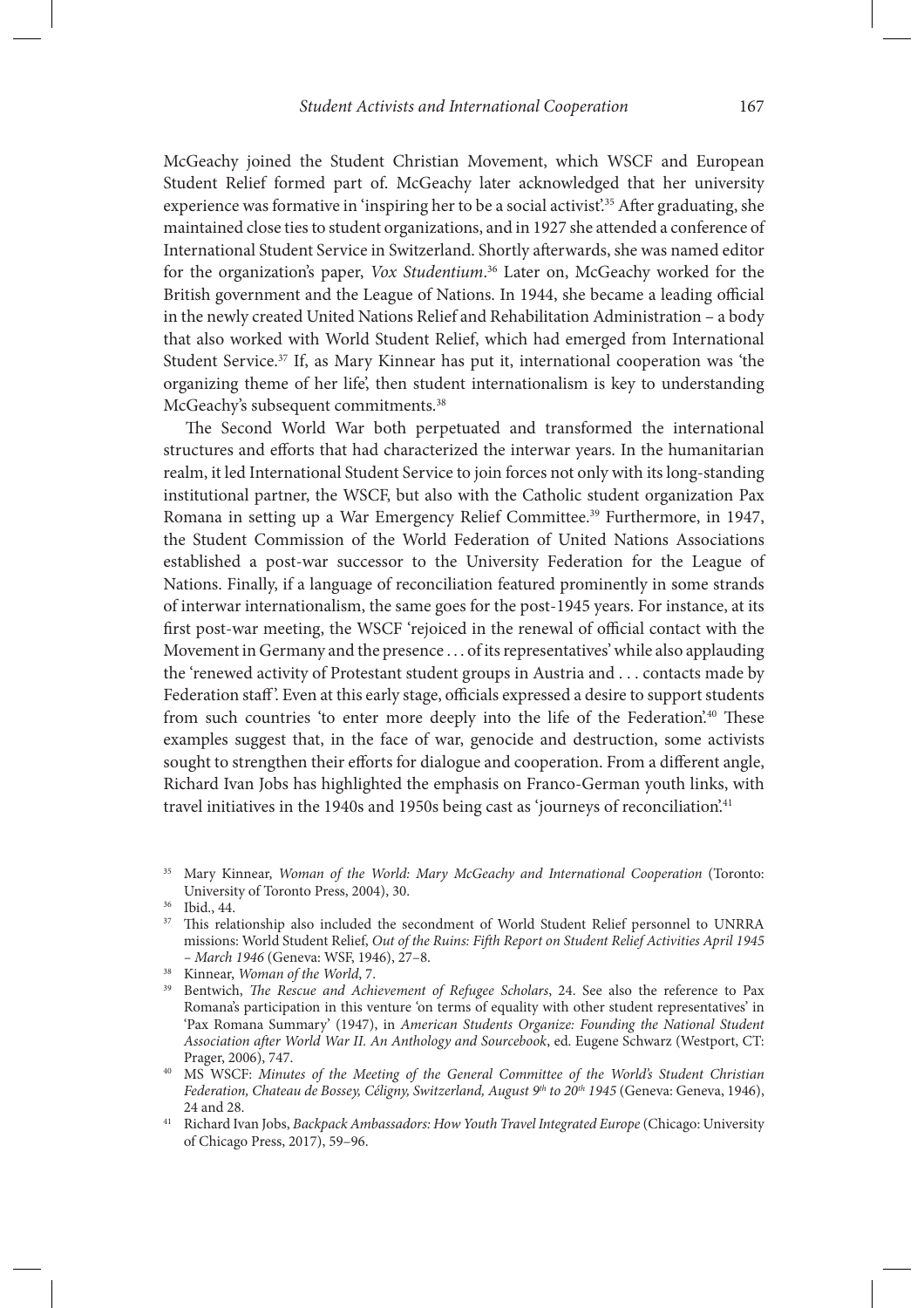McGeachy joined the Student Christian Movement, which WSCF and European Student Relief formed part of. McGeachy later acknowledged that her university experience was formative in 'inspiring her to be a social activist'.<sup>35</sup> After graduating, she maintained close ties to student organizations, and in 1927 she attended a conference of International Student Service in Switzerland. Shortly afterwards, she was named editor for the organization's paper, *Vox Studentium*. 36 Later on, McGeachy worked for the British government and the League of Nations. In 1944, she became a leading official in the newly created United Nations Relief and Rehabilitation Administration – a body that also worked with World Student Relief, which had emerged from International Student Service.37 If, as Mary Kinnear has put it, international cooperation was 'the organizing theme of her life', then student internationalism is key to understanding McGeachy's subsequent commitments.<sup>38</sup>

The Second World War both perpetuated and transformed the international structures and efforts that had characterized the interwar years. In the humanitarian realm, it led International Student Service to join forces not only with its long-standing institutional partner, the WSCF, but also with the Catholic student organization Pax Romana in setting up a War Emergency Relief Committee.<sup>39</sup> Furthermore, in 1947, the Student Commission of the World Federation of United Nations Associations established a post-war successor to the University Federation for the League of Nations. Finally, if a language of reconciliation featured prominently in some strands of interwar internationalism, the same goes for the post-1945 years. For instance, at its first post-war meeting, the WSCF 'rejoiced in the renewal of official contact with the Movement in Germany and the presence . . . of its representatives' while also applauding the 'renewed activity of Protestant student groups in Austria and . . . contacts made by Federation staff'. Even at this early stage, officials expressed a desire to support students from such countries 'to enter more deeply into the life of the Federation.<sup>40</sup> These examples suggest that, in the face of war, genocide and destruction, some activists sought to strengthen their efforts for dialogue and cooperation. From a different angle, Richard Ivan Jobs has highlighted the emphasis on Franco-German youth links, with travel initiatives in the 1940s and 1950s being cast as 'journeys of reconciliation'.<sup>41</sup>

<sup>37</sup> This relationship also included the secondment of World Student Relief personnel to UNRRA missions: World Student Relief, *Out of the Ruins: Fifth Report on Student Relief Activities April 1945 – March 1946* (Geneva: WSF, 1946), 27–8.

<sup>35</sup> Mary Kinnear, *Woman of the World: Mary McGeachy and International Cooperation* (Toronto: University of Toronto Press, 2004), 30.

<sup>36</sup> Ibid., 44.

<sup>38</sup> Kinnear, *Woman of the World*, 7.

<sup>&</sup>lt;sup>39</sup> Bentwich, *The Rescue and Achievement of Refugee Scholars*, 24. See also the reference to Pax Romana's participation in this venture 'on terms of equality with other student representatives' in 'Pax Romana Summary' (1947), in *American Students Organize: Founding the National Student Association a*\**er World War II. An Anthology and Sourcebook*, ed. Eugene Schwarz (Westport, CT: Prager, 2006), 747.

<sup>40</sup> MS WSCF: *Minutes of the Meeting of the General Committee of the World's Student Christian Federation, Chateau de Bossey, Céligny, Switzerland, August 9th to 20th 1945* (Geneva: Geneva, 1946), 24 and 28. 41 Richard Ivan Jobs, *Backpack Ambassadors: How Youth Travel Integrated Europe* (Chicago: University

of Chicago Press, 2017), 59–96.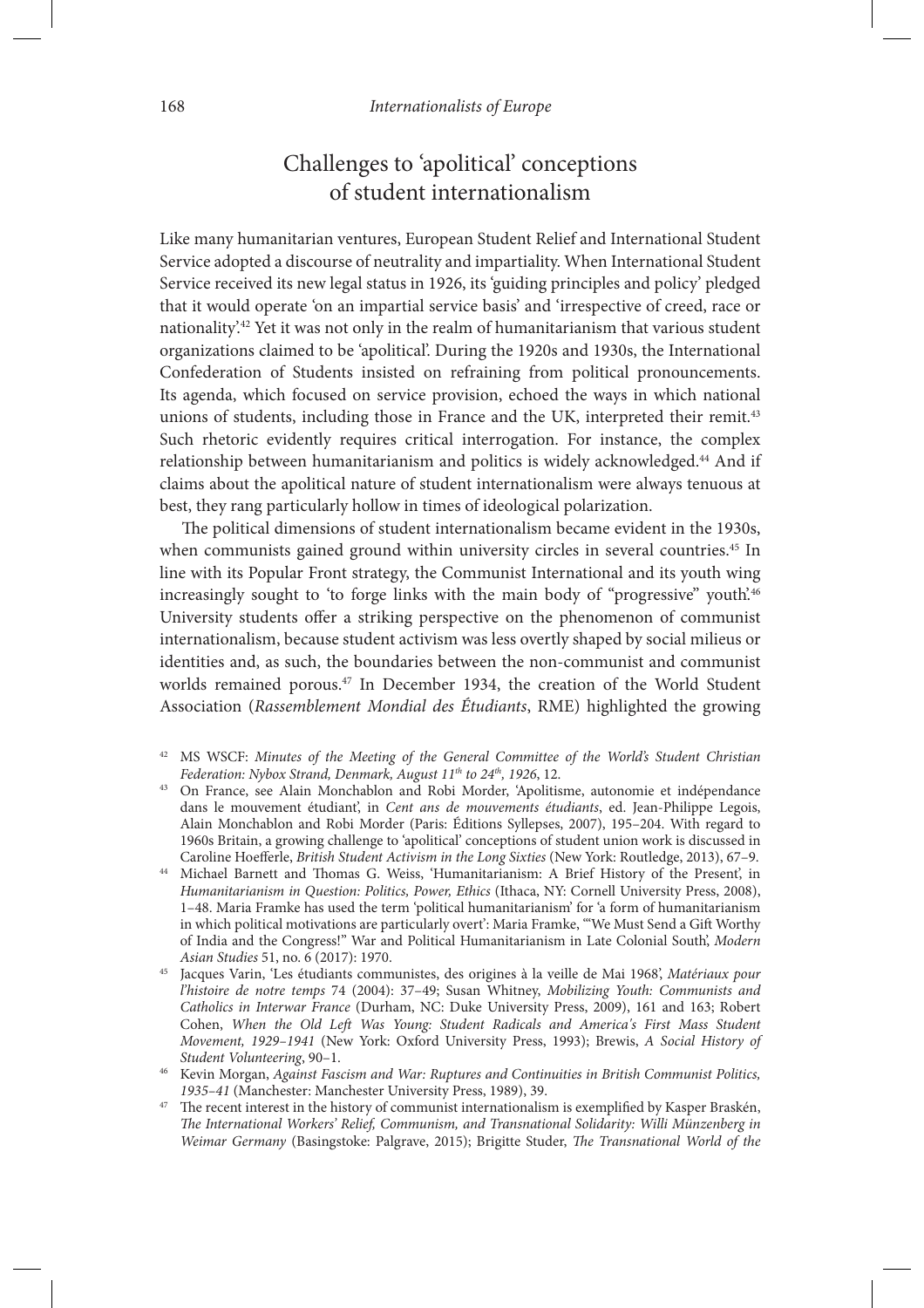# Challenges to 'apolitical' conceptions of student internationalism

Like many humanitarian ventures, European Student Relief and International Student Service adopted a discourse of neutrality and impartiality. When International Student Service received its new legal status in 1926, its 'guiding principles and policy' pledged that it would operate 'on an impartial service basis' and 'irrespective of creed, race or nationality.<sup>42</sup> Yet it was not only in the realm of humanitarianism that various student organizations claimed to be 'apolitical'. During the 1920s and 1930s, the International Confederation of Students insisted on refraining from political pronouncements. Its agenda, which focused on service provision, echoed the ways in which national unions of students, including those in France and the UK, interpreted their remit.<sup>43</sup> Such rhetoric evidently requires critical interrogation. For instance, the complex relationship between humanitarianism and politics is widely acknowledged.44 And if claims about the apolitical nature of student internationalism were always tenuous at best, they rang particularly hollow in times of ideological polarization.

The political dimensions of student internationalism became evident in the 1930s, when communists gained ground within university circles in several countries.<sup>45</sup> In line with its Popular Front strategy, the Communist International and its youth wing increasingly sought to 'to forge links with the main body of "progressive" youth.<sup>46</sup> University students offer a striking perspective on the phenomenon of communist internationalism, because student activism was less overtly shaped by social milieus or identities and, as such, the boundaries between the non-communist and communist worlds remained porous.<sup>47</sup> In December 1934, the creation of the World Student Association (*Rassemblement Mondial des Étudiants*, RME) highlighted the growing

- <sup>42</sup> MS WSCF: *Minutes of the Meeting of the General Committee of the World's Student Christian Federation: Nybox Strand, Denmark, August 11th to 24th, 1926*, 12.
- <sup>43</sup> On France, see Alain Monchablon and Robi Morder, 'Apolitisme, autonomie et indépendance dans le mouvement étudiant', in *Cent ans de mouvements étudiants*, ed. Jean-Philippe Legois, Alain Monchablon and Robi Morder (Paris: Éditions Syllepses, 2007), 195–204. With regard to 1960s Britain, a growing challenge to 'apolitical' conceptions of student union work is discussed in Caroline Hoefferle, *British Student Activism in the Long Sixties* (New York: Routledge, 2013), 67-9.
- Michael Barnett and Thomas G. Weiss, 'Humanitarianism: A Brief History of the Present', in *Humanitarianism in Question: Politics, Power, Ethics* (Ithaca, NY: Cornell University Press, 2008), 1–48. Maria Framke has used the term 'political humanitarianism' for 'a form of humanitarianism in which political motivations are particularly overt': Maria Framke, "We Must Send a Gift Worthy of India and the Congress!" War and Political Humanitarianism in Late Colonial South', *Modern Asian Studies* 51, no. 6 (2017): 1970.
- <sup>45</sup> Jacques Varin, 'Les étudiants communistes, des origines à la veille de Mai 1968', *Matériaux pour l'histoire de notre temps* 74 (2004): 37–49; Susan Whitney, *Mobilizing Youth: Communists and Catholics in Interwar France* (Durham, NC: Duke University Press, 2009), 161 and 163; Robert Cohen, *When the Old Le*\* *Was Young: Student Radicals and America's First Mass Student Movement, 1929–1941* (New York: Oxford University Press, 1993); Brewis, *A Social History of Student Volunteering*, 90–1. 46 Kevin Morgan, *Against Fascism and War: Ruptures and Continuities in British Communist Politics,*
- *1935–41* (Manchester: Manchester University Press, 1989), 39.
- The recent interest in the history of communist internationalism is exemplified by Kasper Braskén, \$*e International Workers' Relief, Communism, and Transnational Solidarity: Willi Münzenberg in Weimar Germany* (Basingstoke: Palgrave, 2015); Brigitte Studer, *The Transnational World of the*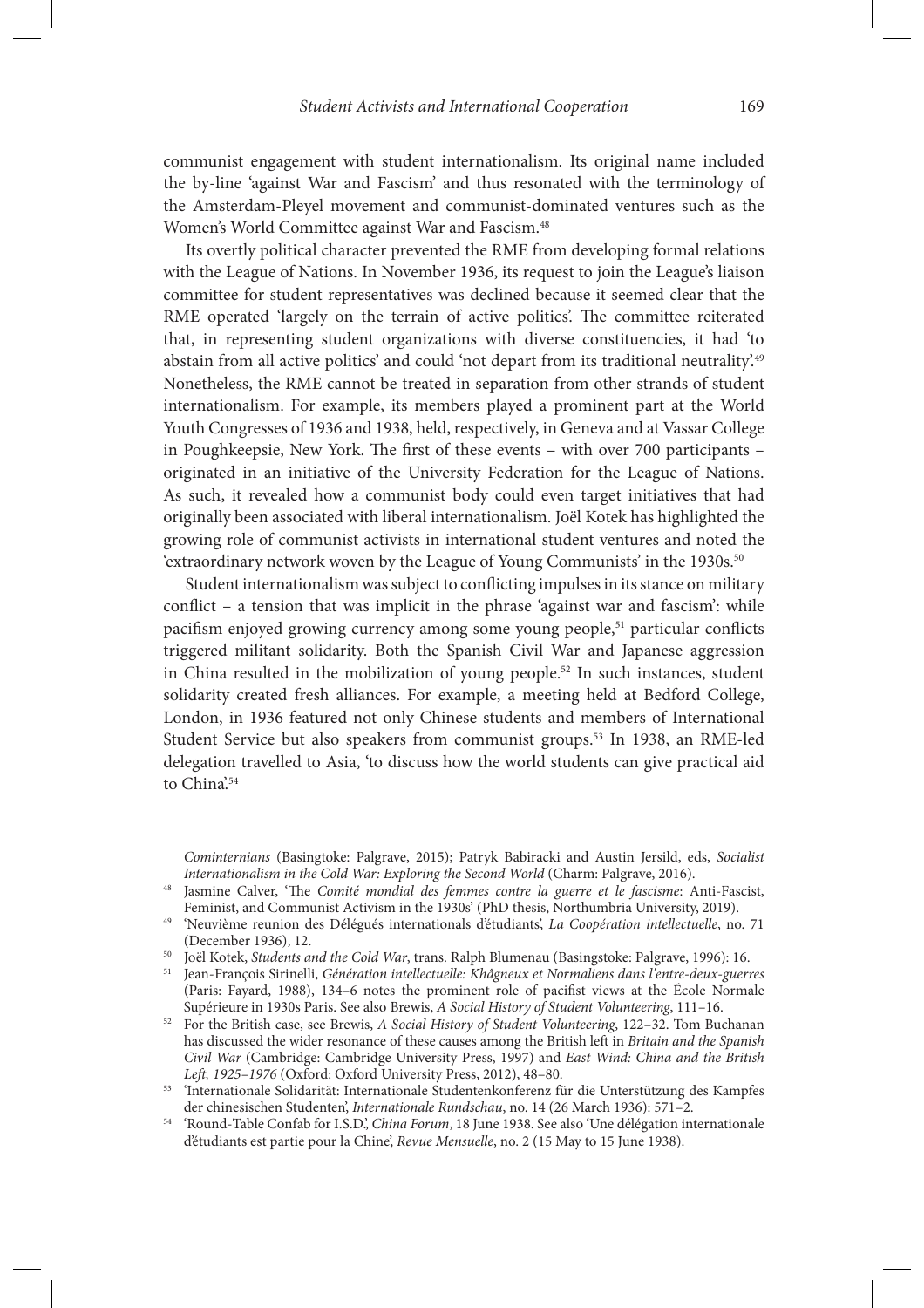communist engagement with student internationalism. Its original name included the by-line 'against War and Fascism' and thus resonated with the terminology of the Amsterdam-Pleyel movement and communist-dominated ventures such as the Women's World Committee against War and Fascism.<sup>48</sup>

Its overtly political character prevented the RME from developing formal relations with the League of Nations. In November 1936, its request to join the League's liaison committee for student representatives was declined because it seemed clear that the RME operated 'largely on the terrain of active politics'. The committee reiterated that, in representing student organizations with diverse constituencies, it had 'to abstain from all active politics' and could 'not depart from its traditional neutrality'.<sup>49</sup> Nonetheless, the RME cannot be treated in separation from other strands of student internationalism. For example, its members played a prominent part at the World Youth Congresses of 1936 and 1938, held, respectively, in Geneva and at Vassar College in Poughkeepsie, New York. The first of these events – with over 700 participants – originated in an initiative of the University Federation for the League of Nations. As such, it revealed how a communist body could even target initiatives that had originally been associated with liberal internationalism. Joël Kotek has highlighted the growing role of communist activists in international student ventures and noted the 'extraordinary network woven by the League of Young Communists' in the 1930s.<sup>50</sup>

Student internationalism was subject to conflicting impulses in its stance on military conflict – a tension that was implicit in the phrase 'against war and fascism': while pacifism enjoyed growing currency among some young people,<sup>51</sup> particular conflicts triggered militant solidarity. Both the Spanish Civil War and Japanese aggression in China resulted in the mobilization of young people.<sup>52</sup> In such instances, student solidarity created fresh alliances. For example, a meeting held at Bedford College, London, in 1936 featured not only Chinese students and members of International Student Service but also speakers from communist groups.53 In 1938, an RME-led delegation travelled to Asia, 'to discuss how the world students can give practical aid to China<sup>'54</sup>

*Cominternians* (Basingtoke: Palgrave, 2015); Patryk Babiracki and Austin Jersild, eds, *Socialist Internationalism in the Cold War: Exploring the Second World* (Charm: Palgrave, 2016).

- <sup>48</sup> Jasmine Calver, 'The *Comité mondial des femmes contre la guerre et le fascisme*: Anti-Fascist, Feminist, and Communist Activism in the 1930s' (PhD thesis, Northumbria University, 2019).
- <sup>49</sup> 'Neuvième reunion des Délégués internationals d'étudiants', *La Coopération intellectuelle*, no. 71 (December 1936), 12.
- <sup>50</sup> Joël Kotek, *Students and the Cold War*, trans. Ralph Blumenau (Basingstoke: Palgrave, 1996): 16.
- <sup>51</sup> Jean-François Sirinelli, *Génération intellectuelle: Khâgneux et Normaliens dans l'entre-deux-guerres* (Paris: Fayard, 1988), 134–6 notes the prominent role of pacifist views at the École Normale Supérieure in 1930s Paris. See also Brewis, A Social History of Student Volunteering, 111–16.
- <sup>52</sup> For the British case, see Brewis, *A Social History of Student Volunteering*, 122–32. Tom Buchanan has discussed the wider resonance of these causes among the British left in *Britain and the Spanish Civil War* (Cambridge: Cambridge University Press, 1997) and *East Wind: China and the British Le*\**, 1925–1976* (Oxford: Oxford University Press, 2012), 48–80.

<sup>53</sup> 'Internationale Solidarität: Internationale Studentenkonferenz für die Unterstützung des Kampfes der chinesischen Studenten', *Internationale Rundschau*, no. 14 (26 March 1936): 571–2.

<sup>54</sup> 'Round-Table Confab for I.S.D.', *China Forum*, 18 June 1938. See also 'Une délégation internationale d'étudiants est partie pour la Chine', *Revue Mensuelle*, no. 2 (15 May to 15 June 1938).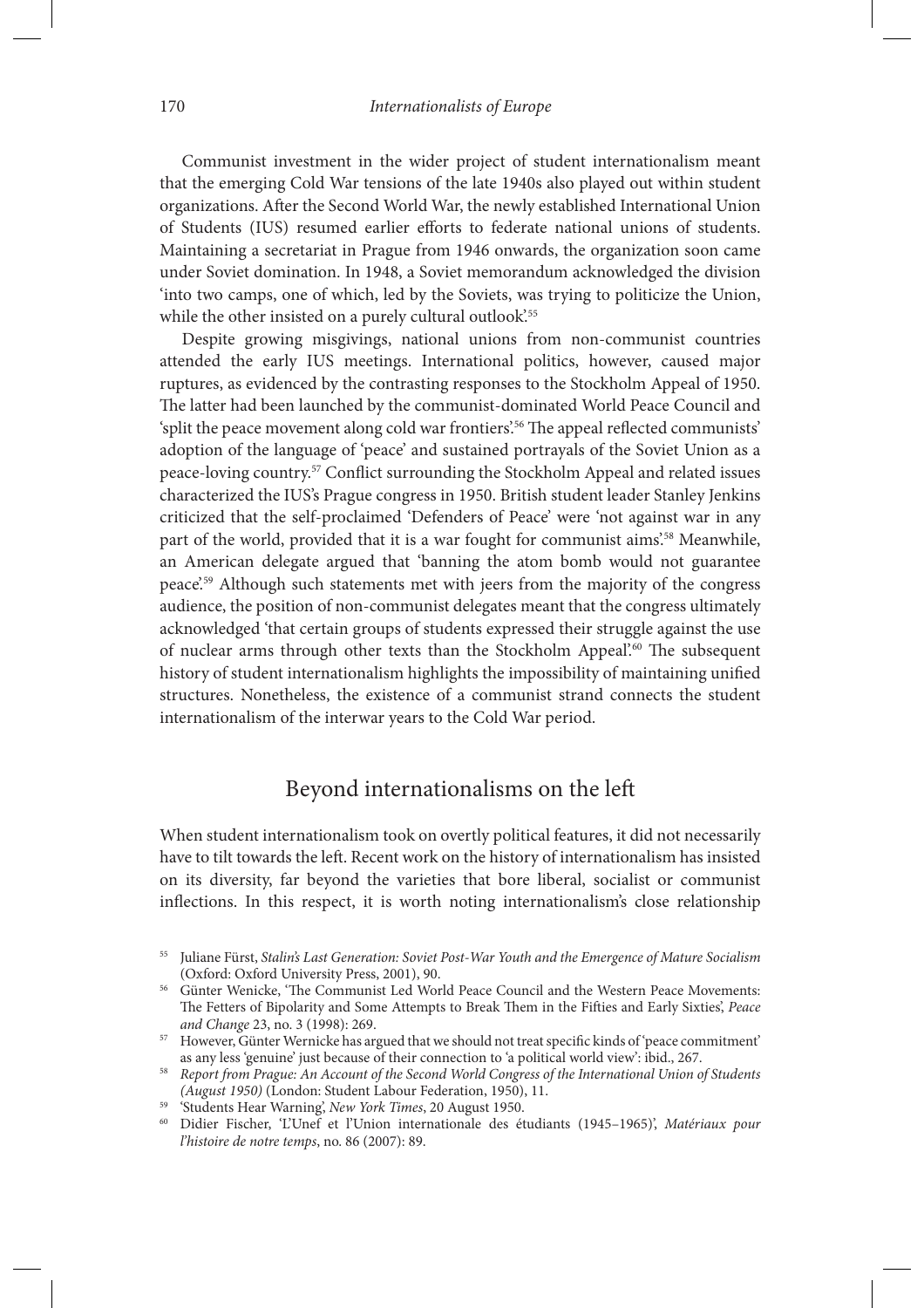Communist investment in the wider project of student internationalism meant that the emerging Cold War tensions of the late 1940s also played out within student organizations. After the Second World War, the newly established International Union of Students (IUS) resumed earlier efforts to federate national unions of students. Maintaining a secretariat in Prague from 1946 onwards, the organization soon came under Soviet domination. In 1948, a Soviet memorandum acknowledged the division 'into two camps, one of which, led by the Soviets, was trying to politicize the Union, while the other insisted on a purely cultural outlook.<sup>55</sup>

Despite growing misgivings, national unions from non-communist countries attended the early IUS meetings. International politics, however, caused major ruptures, as evidenced by the contrasting responses to the Stockholm Appeal of 1950. The latter had been launched by the communist-dominated World Peace Council and 'split the peace movement along cold war frontiers'.<sup>56</sup> The appeal reflected communists' adoption of the language of 'peace' and sustained portrayals of the Soviet Union as a peace-loving country.<sup>57</sup> Conflict surrounding the Stockholm Appeal and related issues characterized the IUS's Prague congress in 1950. British student leader Stanley Jenkins criticized that the self-proclaimed 'Defenders of Peace' were 'not against war in any part of the world, provided that it is a war fought for communist aims'.<sup>58</sup> Meanwhile, an American delegate argued that 'banning the atom bomb would not guarantee peace'.59 Although such statements met with jeers from the majority of the congress audience, the position of non-communist delegates meant that the congress ultimately acknowledged 'that certain groups of students expressed their struggle against the use of nuclear arms through other texts than the Stockholm Appeal<sup>'.60</sup> The subsequent history of student internationalism highlights the impossibility of maintaining unified structures. Nonetheless, the existence of a communist strand connects the student internationalism of the interwar years to the Cold War period.

# Beyond internationalisms on the left

When student internationalism took on overtly political features, it did not necessarily have to tilt towards the left. Recent work on the history of internationalism has insisted on its diversity, far beyond the varieties that bore liberal, socialist or communist inflections. In this respect, it is worth noting internationalism's close relationship

- <sup>59</sup> 'Students Hear Warning', *New York Times*, 20 August 1950.
- <sup>60</sup> Didier Fischer, 'L'Unef et l'Union internationale des étudiants (1945–1965)', *Matériaux pour l'histoire de notre temps*, no. 86 (2007): 89.

<sup>55</sup> Juliane Fürst, *Stalin's Last Generation: Soviet Post-War Youth and the Emergence of Mature Socialism* (Oxford: Oxford University Press, 2001), 90.

<sup>&</sup>lt;sup>56</sup> Günter Wenicke, 'The Communist Led World Peace Council and the Western Peace Movements: The Fetters of Bipolarity and Some Attempts to Break Them in the Fifties and Early Sixties', Peace *and Change* 23, no. 3 (1998): 269.

<sup>&</sup>lt;sup>57</sup> However, Günter Wernicke has argued that we should not treat specific kinds of 'peace commitment' as any less 'genuine' just because of their connection to 'a political world view': ibid., 267.

<sup>58</sup> *Report from Prague: An Account of the Second World Congress of the International Union of Students (August 1950)* (London: Student Labour Federation, 1950), 11.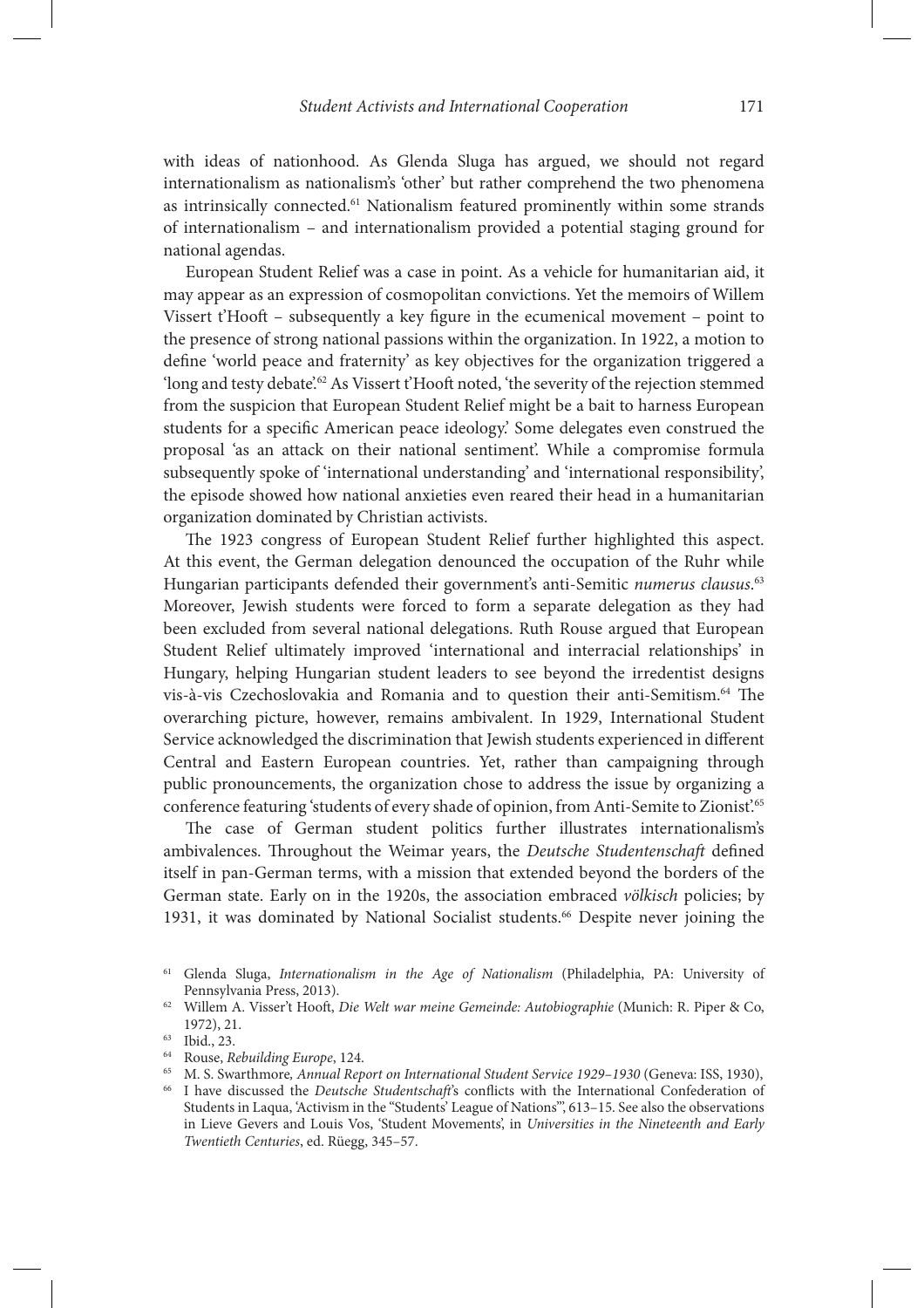with ideas of nationhood. As Glenda Sluga has argued, we should not regard internationalism as nationalism's 'other' but rather comprehend the two phenomena as intrinsically connected.61 Nationalism featured prominently within some strands of internationalism – and internationalism provided a potential staging ground for national agendas.

European Student Relief was a case in point. As a vehicle for humanitarian aid, it may appear as an expression of cosmopolitan convictions. Yet the memoirs of Willem Vissert  $t'$ Hooft – subsequently a key figure in the ecumenical movement – point to the presence of strong national passions within the organization. In 1922, a motion to define 'world peace and fraternity' as key objectives for the organization triggered a 'long and testy debate'.<sup>62</sup> As Vissert t'Hooft noted, 'the severity of the rejection stemmed from the suspicion that European Student Relief might be a bait to harness European students for a specific American peace ideology.' Some delegates even construed the proposal 'as an attack on their national sentiment'. While a compromise formula subsequently spoke of 'international understanding' and 'international responsibility', the episode showed how national anxieties even reared their head in a humanitarian organization dominated by Christian activists.

The 1923 congress of European Student Relief further highlighted this aspect. At this event, the German delegation denounced the occupation of the Ruhr while Hungarian participants defended their government's anti-Semitic *numerus clausus*. 63 Moreover, Jewish students were forced to form a separate delegation as they had been excluded from several national delegations. Ruth Rouse argued that European Student Relief ultimately improved 'international and interracial relationships' in Hungary, helping Hungarian student leaders to see beyond the irredentist designs vis-à-vis Czechoslovakia and Romania and to question their anti-Semitism.<sup>64</sup> The overarching picture, however, remains ambivalent. In 1929, International Student Service acknowledged the discrimination that Jewish students experienced in different Central and Eastern European countries. Yet, rather than campaigning through public pronouncements, the organization chose to address the issue by organizing a conference featuring 'students of every shade of opinion, from Anti-Semite to Zionist.<sup>65</sup>

The case of German student politics further illustrates internationalism's ambivalences. Throughout the Weimar years, the *Deutsche Studentenschaft* defined itself in pan-German terms, with a mission that extended beyond the borders of the German state. Early on in the 1920s, the association embraced *völkisch* policies; by 1931, it was dominated by National Socialist students.<sup>66</sup> Despite never joining the

<sup>61</sup> Glenda Sluga, *Internationalism in the Age of Nationalism* (Philadelphia, PA: University of Pennsylvania Press, 2013).

<sup>&</sup>lt;sup>62</sup> Willem A. Visser't Hooft, *Die Welt war meine Gemeinde: Autobiographie* (Munich: R. Piper & Co, 1972), 21.

<sup>63</sup> Ibid., 23.

<sup>64</sup> Rouse, *Rebuilding Europe*, 124.

<sup>&</sup>lt;sup>65</sup> M. S. Swarthmore, *Annual Report on International Student Service 1929–1930* (Geneva: ISS, 1930), <sup>66</sup> I have discussed the *Deutsche Studentschaft's* conflicts with the International Confederation of Students in Laqua, 'Activism in the "Students' League of Nations"', 613–15. See also the observations in Lieve Gevers and Louis Vos, 'Student Movements', in *Universities in the Nineteenth and Early Twentieth Centuries*, ed. Rüegg, 345–57.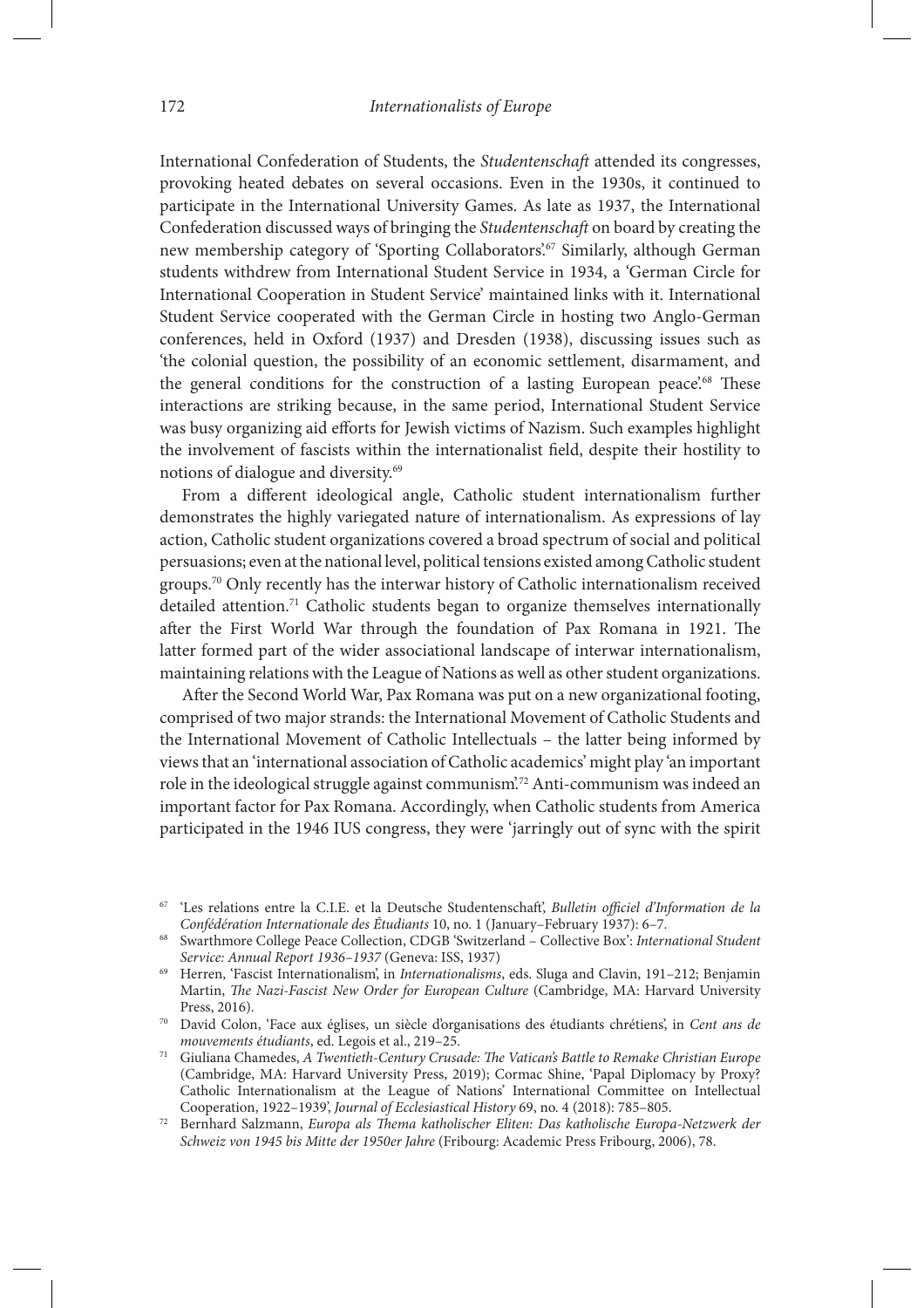International Confederation of Students, the *Studentenschaft* attended its congresses, provoking heated debates on several occasions. Even in the 1930s, it continued to participate in the International University Games. As late as 1937, the International Confederation discussed ways of bringing the *Studentenscha*\* on board by creating the new membership category of 'Sporting Collaborators'.<sup>67</sup> Similarly, although German students withdrew from International Student Service in 1934, a 'German Circle for International Cooperation in Student Service' maintained links with it. International Student Service cooperated with the German Circle in hosting two Anglo-German conferences, held in Oxford (1937) and Dresden (1938), discussing issues such as 'the colonial question, the possibility of an economic settlement, disarmament, and the general conditions for the construction of a lasting European peace.<sup>68</sup> These interactions are striking because, in the same period, International Student Service was busy organizing aid efforts for Jewish victims of Nazism. Such examples highlight the involvement of fascists within the internationalist field, despite their hostility to notions of dialogue and diversity.69

From a different ideological angle, Catholic student internationalism further demonstrates the highly variegated nature of internationalism. As expressions of lay action, Catholic student organizations covered a broad spectrum of social and political persuasions; even at the national level, political tensions existed among Catholic student groups.70 Only recently has the interwar history of Catholic internationalism received detailed attention.<sup>71</sup> Catholic students began to organize themselves internationally after the First World War through the foundation of Pax Romana in 1921. The latter formed part of the wider associational landscape of interwar internationalism, maintaining relations with the League of Nations as well as other student organizations.

After the Second World War, Pax Romana was put on a new organizational footing, comprised of two major strands: the International Movement of Catholic Students and the International Movement of Catholic Intellectuals – the latter being informed by views that an 'international association of Catholic academics' might play 'an important role in the ideological struggle against communism'.72 Anti-communism was indeed an important factor for Pax Romana. Accordingly, when Catholic students from America participated in the 1946 IUS congress, they were 'jarringly out of sync with the spirit

<sup>67</sup> 'Les relations entre la C.I.E. et la Deutsche Studentenscha"', *Bulletin o*0*ciel d'Information de la Confédération Internationale des Étudiants* 10, no. 1 (January–February 1937): 6–7.

<sup>68</sup> Swarthmore College Peace Collection, CDGB 'Switzerland – Collective Box': *International Student Service: Annual Report 1936–1937* (Geneva: ISS, 1937)

<sup>69</sup> Herren, 'Fascist Internationalism', in *Internationalisms*, eds. Sluga and Clavin, 191–212; Benjamin Martin, \$*e Nazi-Fascist New Order for European Culture* (Cambridge, MA: Harvard University Press, 2016).

<sup>70</sup> David Colon, 'Face aux églises, un siècle d'organisations des étudiants chrétiens', in *Cent ans de mouvements étudiants*, ed. Legois et al., 219–25.

<sup>71</sup> Giuliana Chamedes, *A Twentieth-Century Crusade:* \$*e Vatican's Battle to Remake Christian Europe* (Cambridge, MA: Harvard University Press, 2019); Cormac Shine, 'Papal Diplomacy by Proxy? Catholic Internationalism at the League of Nations' International Committee on Intellectual Cooperation, 1922–1939', *Journal of Ecclesiastical History* 69, no. 4 (2018): 785–805.

<sup>72</sup> Bernhard Salzmann, *Europa als* \$*ema katholischer Eliten: Das katholische Europa-Netzwerk der Schweiz von 1945 bis Mitte der 1950er Jahre* (Fribourg: Academic Press Fribourg, 2006), 78.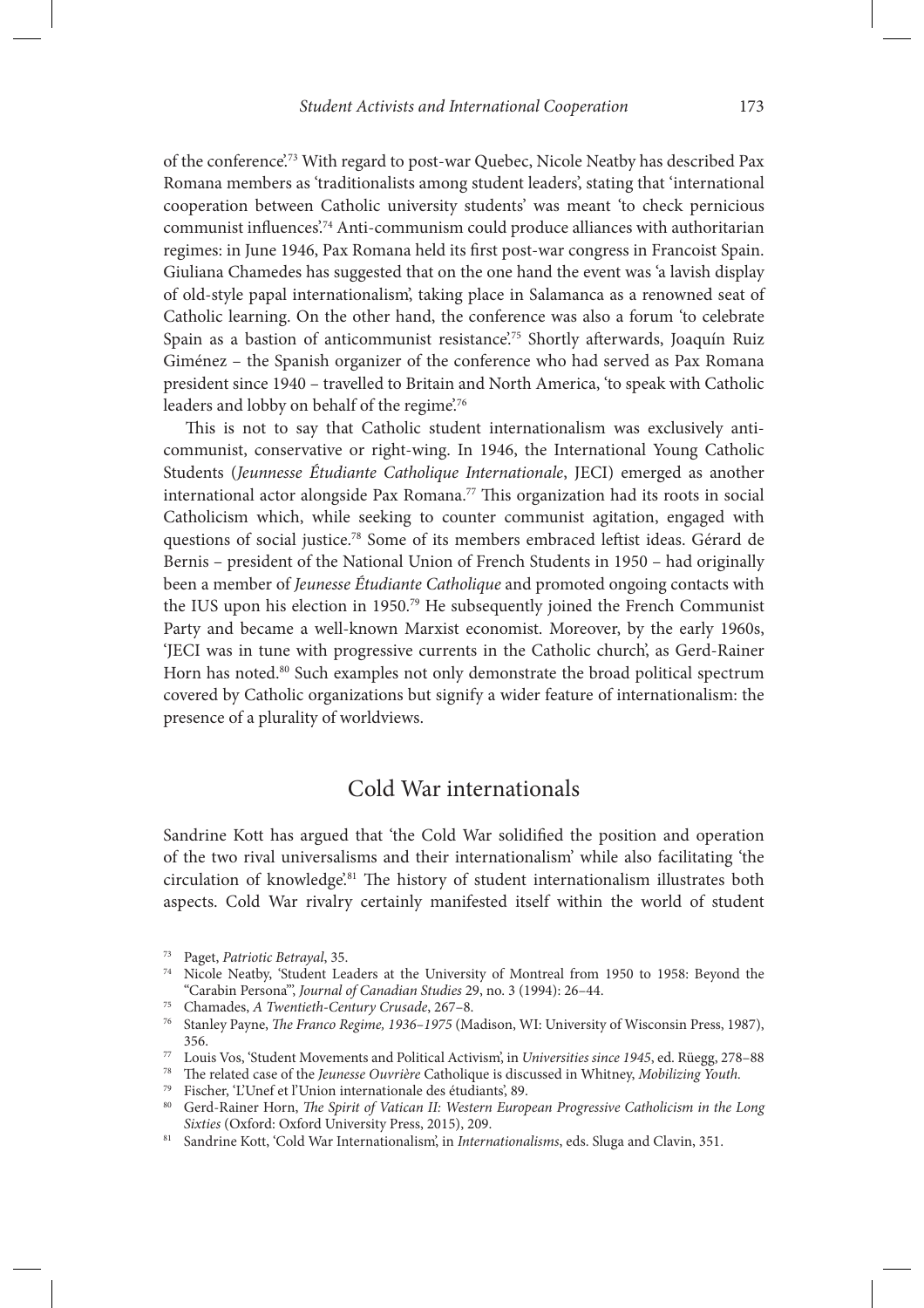of the conference'.73 With regard to post-war Quebec, Nicole Neatby has described Pax Romana members as 'traditionalists among student leaders', stating that 'international cooperation between Catholic university students' was meant 'to check pernicious communist influences.<sup>74</sup> Anti-communism could produce alliances with authoritarian regimes: in June 1946, Pax Romana held its first post-war congress in Francoist Spain. Giuliana Chamedes has suggested that on the one hand the event was 'a lavish display of old-style papal internationalism', taking place in Salamanca as a renowned seat of Catholic learning. On the other hand, the conference was also a forum 'to celebrate Spain as a bastion of anticommunist resistance'.<sup>75</sup> Shortly afterwards, Joaquín Ruiz Giménez – the Spanish organizer of the conference who had served as Pax Romana president since 1940 – travelled to Britain and North America, 'to speak with Catholic leaders and lobby on behalf of the regime.<sup>76</sup>

This is not to say that Catholic student internationalism was exclusively anticommunist, conservative or right-wing. In 1946, the International Young Catholic Students (*Jeunnesse Étudiante Catholique Internationale*, JECI) emerged as another international actor alongside Pax Romana.<sup>77</sup> This organization had its roots in social Catholicism which, while seeking to counter communist agitation, engaged with questions of social justice.<sup>78</sup> Some of its members embraced leftist ideas. Gérard de Bernis – president of the National Union of French Students in 1950 – had originally been a member of *Jeunesse Étudiante Catholique* and promoted ongoing contacts with the IUS upon his election in 1950.79 He subsequently joined the French Communist Party and became a well-known Marxist economist. Moreover, by the early 1960s, 'JECI was in tune with progressive currents in the Catholic church', as Gerd-Rainer Horn has noted.<sup>80</sup> Such examples not only demonstrate the broad political spectrum covered by Catholic organizations but signify a wider feature of internationalism: the presence of a plurality of worldviews.

#### Cold War internationals

Sandrine Kott has argued that 'the Cold War solidified the position and operation of the two rival universalisms and their internationalism' while also facilitating 'the circulation of knowledge'.<sup>81</sup> The history of student internationalism illustrates both aspects. Cold War rivalry certainly manifested itself within the world of student

<sup>73</sup> Paget, *Patriotic Betrayal*, 35.

<sup>74</sup> Nicole Neatby, 'Student Leaders at the University of Montreal from 1950 to 1958: Beyond the "Carabin Persona"', *Journal of Canadian Studies* 29, no. 3 (1994): 26–44.

<sup>75</sup> Chamades, *A Twentieth-Century Crusade*, 267–8.

<sup>&</sup>lt;sup>76</sup> Stanley Payne, *The Franco Regime, 1936–1975* (Madison, WI: University of Wisconsin Press, 1987), 356.

<sup>77</sup> Louis Vos, 'Student Movements and Political Activism', in *Universities since 1945*, ed. Rüegg, 278–88

<sup>78</sup> %e related case of the *Jeunesse Ouvrière* Catholique is discussed in Whitney, *Mobilizing Youth.*

<sup>79</sup> Fischer, 'L'Unef et l'Union internationale des étudiants', 89.

<sup>&</sup>lt;sup>80</sup> Gerd-Rainer Horn, *The Spirit of Vatican II: Western European Progressive Catholicism in the Long Sixties* (Oxford: Oxford University Press, 2015), 209.

<sup>81</sup> Sandrine Kott, 'Cold War Internationalism', in *Internationalisms*, eds. Sluga and Clavin, 351.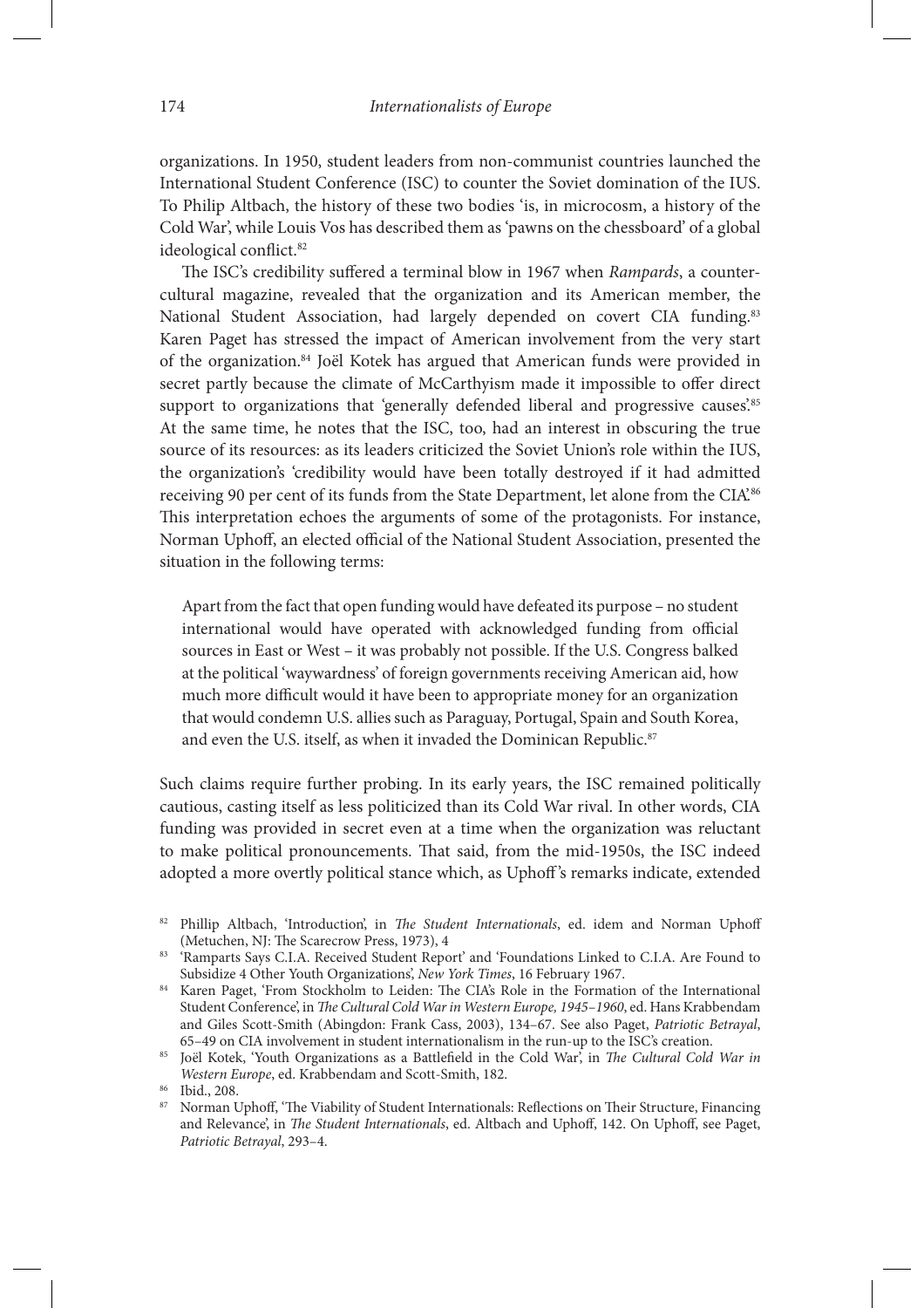organizations. In 1950, student leaders from non-communist countries launched the International Student Conference (ISC) to counter the Soviet domination of the IUS. To Philip Altbach, the history of these two bodies 'is, in microcosm, a history of the Cold War', while Louis Vos has described them as 'pawns on the chessboard' of a global ideological conflict.<sup>82</sup>

The ISC's credibility suffered a terminal blow in 1967 when *Rampards*, a countercultural magazine, revealed that the organization and its American member, the National Student Association, had largely depended on covert CIA funding.<sup>83</sup> Karen Paget has stressed the impact of American involvement from the very start of the organization.<sup>84</sup> Joël Kotek has argued that American funds were provided in secret partly because the climate of McCarthyism made it impossible to offer direct support to organizations that 'generally defended liberal and progressive causes'.<sup>85</sup> At the same time, he notes that the ISC, too, had an interest in obscuring the true source of its resources: as its leaders criticized the Soviet Union's role within the IUS, the organization's 'credibility would have been totally destroyed if it had admitted receiving 90 per cent of its funds from the State Department, let alone from the CIA<sup>366</sup> This interpretation echoes the arguments of some of the protagonists. For instance, Norman Uphoff, an elected official of the National Student Association, presented the situation in the following terms:

Apart from the fact that open funding would have defeated its purpose – no student international would have operated with acknowledged funding from official sources in East or West – it was probably not possible. If the U.S. Congress balked at the political 'waywardness' of foreign governments receiving American aid, how much more difficult would it have been to appropriate money for an organization that would condemn U.S. allies such as Paraguay, Portugal, Spain and South Korea, and even the U.S. itself, as when it invaded the Dominican Republic.<sup>87</sup>

Such claims require further probing. In its early years, the ISC remained politically cautious, casting itself as less politicized than its Cold War rival. In other words, CIA funding was provided in secret even at a time when the organization was reluctant to make political pronouncements. That said, from the mid-1950s, the ISC indeed adopted a more overtly political stance which, as Uphoff's remarks indicate, extended

Phillip Altbach, 'Introduction', in *The Student Internationals*, ed. idem and Norman Uphoff (Metuchen, NJ: The Scarecrow Press, 1973), 4

<sup>83 &#</sup>x27;Ramparts Says C.I.A. Received Student Report' and 'Foundations Linked to C.I.A. Are Found to Subsidize 4 Other Youth Organizations', *New York Times*, 16 February 1967.

<sup>84</sup> Karen Paget, 'From Stockholm to Leiden: The CIA's Role in the Formation of the International Student Conference', in \$*e Cultural Cold War in Western Europe, 1945–1960*, ed. Hans Krabbendam and Giles Scott-Smith (Abingdon: Frank Cass, 2003), 134–67. See also Paget, *Patriotic Betrayal*, 65–49 on CIA involvement in student internationalism in the run-up to the ISC's creation.

<sup>&</sup>lt;sup>85</sup> Joël Kotek, 'Youth Organizations as a Battlefield in the Cold War', in *The Cultural Cold War in Western Europe*, ed. Krabbendam and Scott-Smith, 182.

Ibid., 208.

Norman Uphoff, 'The Viability of Student Internationals: Reflections on Their Structure, Financing and Relevance', in *The Student Internationals*, ed. Altbach and Uphoff, 142. On Uphoff, see Paget, *Patriotic Betrayal*, 293–4.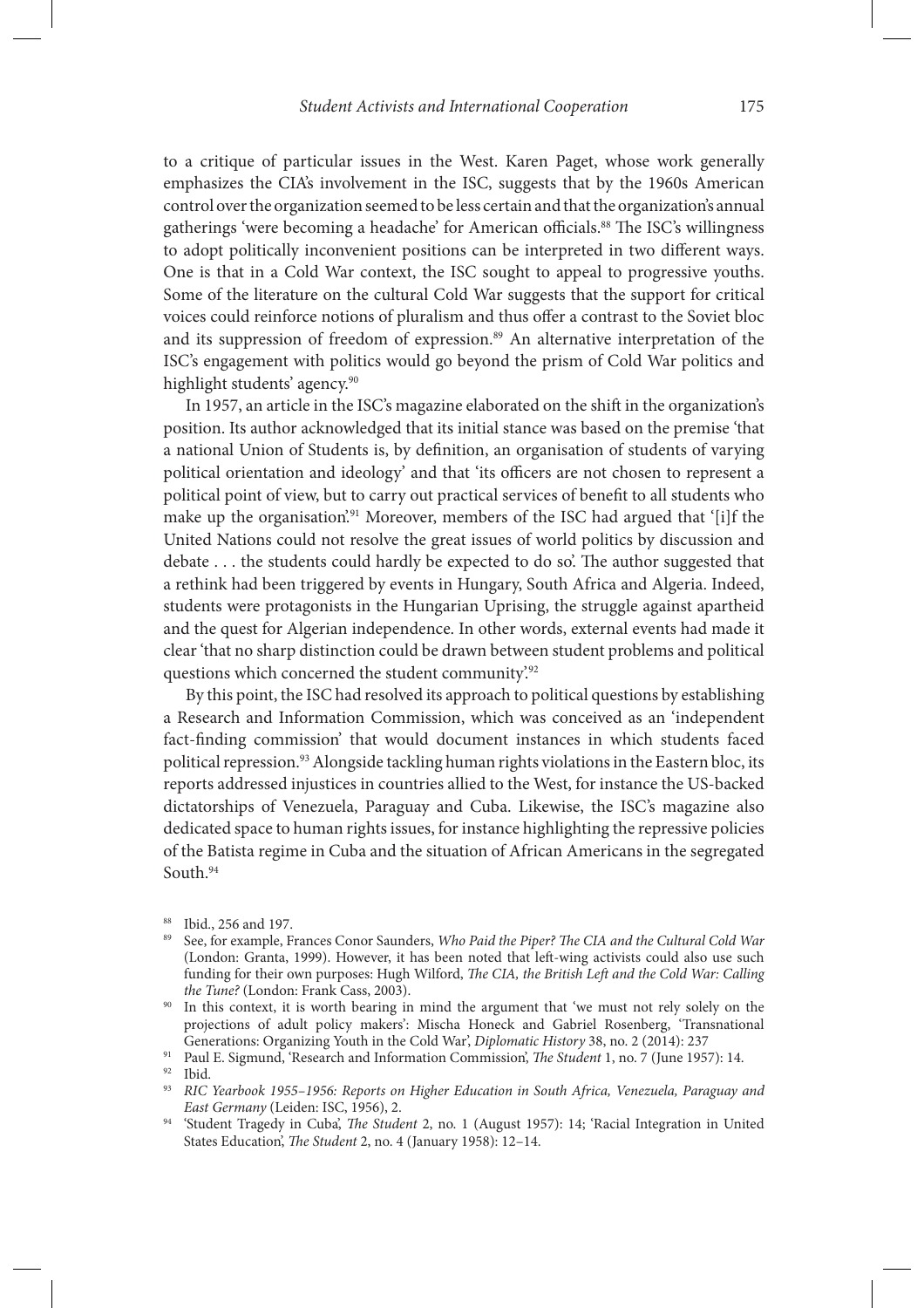to a critique of particular issues in the West. Karen Paget, whose work generally emphasizes the CIA's involvement in the ISC, suggests that by the 1960s American control over the organization seemed to be less certain and that the organization's annual gatherings 'were becoming a headache' for American officials.<sup>88</sup> The ISC's willingness to adopt politically inconvenient positions can be interpreted in two different ways. One is that in a Cold War context, the ISC sought to appeal to progressive youths. Some of the literature on the cultural Cold War suggests that the support for critical voices could reinforce notions of pluralism and thus offer a contrast to the Soviet bloc and its suppression of freedom of expression.<sup>89</sup> An alternative interpretation of the ISC's engagement with politics would go beyond the prism of Cold War politics and highlight students' agency.<sup>90</sup>

In 1957, an article in the ISC's magazine elaborated on the shift in the organization's position. Its author acknowledged that its initial stance was based on the premise 'that a national Union of Students is, by definition, an organisation of students of varying political orientation and ideology' and that 'its officers are not chosen to represent a political point of view, but to carry out practical services of benefit to all students who make up the organisation.<sup>91</sup> Moreover, members of the ISC had argued that '[i]f the United Nations could not resolve the great issues of world politics by discussion and debate  $\dots$  the students could hardly be expected to do so. The author suggested that a rethink had been triggered by events in Hungary, South Africa and Algeria. Indeed, students were protagonists in the Hungarian Uprising, the struggle against apartheid and the quest for Algerian independence. In other words, external events had made it clear 'that no sharp distinction could be drawn between student problems and political questions which concerned the student community.<sup>92</sup>

By this point, the ISC had resolved its approach to political questions by establishing a Research and Information Commission, which was conceived as an 'independent fact-finding commission' that would document instances in which students faced political repression.93 Alongside tackling human rights violations in the Eastern bloc, its reports addressed injustices in countries allied to the West, for instance the US-backed dictatorships of Venezuela, Paraguay and Cuba. Likewise, the ISC's magazine also dedicated space to human rights issues, for instance highlighting the repressive policies of the Batista regime in Cuba and the situation of African Americans in the segregated South.<sup>94</sup>

<sup>88</sup> Ibid., 256 and 197.

<sup>89</sup> See, for example, Frances Conor Saunders, *Who Paid the Piper? The CIA and the Cultural Cold War* (London: Granta, 1999). However, it has been noted that left-wing activists could also use such funding for their own purposes: Hugh Wilford, *The CIA, the British Left and the Cold War: Calling the Tune?* (London: Frank Cass, 2003).

<sup>&</sup>lt;sup>90</sup> In this context, it is worth bearing in mind the argument that 'we must not rely solely on the projections of adult policy makers': Mischa Honeck and Gabriel Rosenberg, 'Transnational Generations: Organizing Youth in the Cold War', *Diplomatic History* 38, no. 2 (2014): 237

<sup>&</sup>lt;sup>91</sup> Paul E. Sigmund, 'Research and Information Commission', *The Student* 1, no. 7 (June 1957): 14.

Ibid.

<sup>93</sup> *RIC Yearbook 1955–1956: Reports on Higher Education in South Africa, Venezuela, Paraguay and East Germany* (Leiden: ISC, 1956), 2.

<sup>&</sup>lt;sup>94</sup> 'Student Tragedy in Cuba', *The Student* 2, no. 1 (August 1957): 14; 'Racial Integration in United States Education', *The Student* 2, no. 4 (January 1958): 12–14.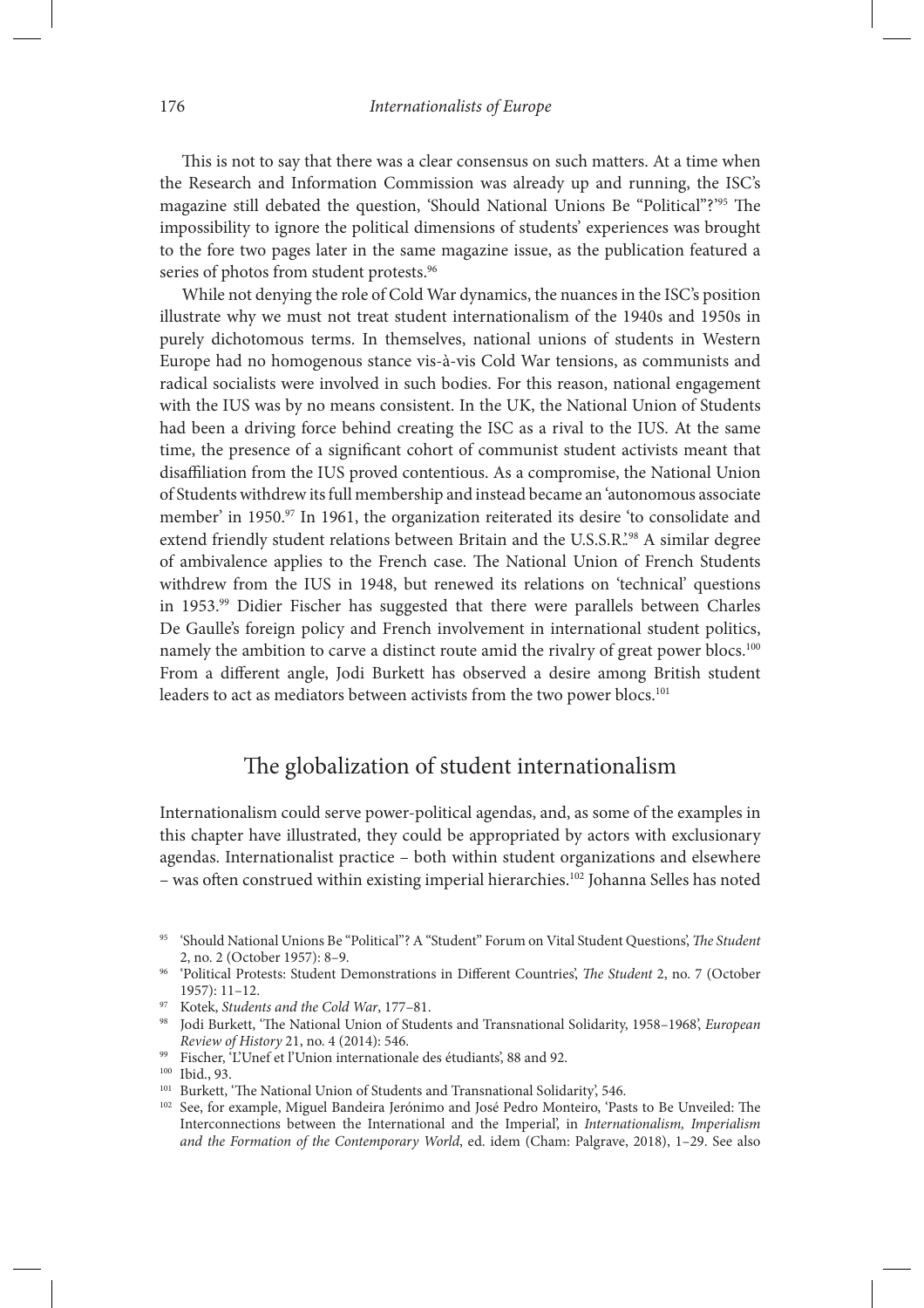This is not to say that there was a clear consensus on such matters. At a time when the Research and Information Commission was already up and running, the ISC's magazine still debated the question, 'Should National Unions Be "Political"?"<sup>55</sup> The impossibility to ignore the political dimensions of students' experiences was brought to the fore two pages later in the same magazine issue, as the publication featured a series of photos from student protests.<sup>96</sup>

While not denying the role of Cold War dynamics, the nuances in the ISC's position illustrate why we must not treat student internationalism of the 1940s and 1950s in purely dichotomous terms. In themselves, national unions of students in Western Europe had no homogenous stance vis-à-vis Cold War tensions, as communists and radical socialists were involved in such bodies. For this reason, national engagement with the IUS was by no means consistent. In the UK, the National Union of Students had been a driving force behind creating the ISC as a rival to the IUS. At the same time, the presence of a significant cohort of communist student activists meant that disaffiliation from the IUS proved contentious. As a compromise, the National Union of Students withdrew its full membership and instead became an 'autonomous associate member' in 1950.<sup>97</sup> In 1961, the organization reiterated its desire 'to consolidate and extend friendly student relations between Britain and the U.S.S.R.<sup>298</sup> A similar degree of ambivalence applies to the French case. The National Union of French Students withdrew from the IUS in 1948, but renewed its relations on 'technical' questions in 1953.99 Didier Fischer has suggested that there were parallels between Charles De Gaulle's foreign policy and French involvement in international student politics, namely the ambition to carve a distinct route amid the rivalry of great power blocs.<sup>100</sup> From a different angle, Jodi Burkett has observed a desire among British student leaders to act as mediators between activists from the two power blocs.<sup>101</sup>

# The globalization of student internationalism

Internationalism could serve power-political agendas, and, as some of the examples in this chapter have illustrated, they could be appropriated by actors with exclusionary agendas. Internationalist practice – both within student organizations and elsewhere – was often construed within existing imperial hierarchies.<sup>102</sup> Johanna Selles has noted

99 Fischer, 'L'Unef et l'Union internationale des étudiants', 88 and 92.

<sup>&</sup>lt;sup>95</sup> 'Should National Unions Be "Political"? A "Student" Forum on Vital Student Questions', *The Student* 2, no. 2 (October 1957): 8–9.

<sup>&</sup>lt;sup>96</sup> 'Political Protests: Student Demonstrations in Different Countries', *The Student* 2, no. 7 (October 1957): 11–12.

<sup>97</sup> Kotek, *Students and the Cold War*, 177–81.

<sup>&</sup>lt;sup>98</sup> Jodi Burkett, 'The National Union of Students and Transnational Solidarity, 1958–1968', *European Review of History* 21, no. 4 (2014): 546.

<sup>100</sup> Ibid., 93.

<sup>&</sup>lt;sup>101</sup> Burkett, 'The National Union of Students and Transnational Solidarity', 546.

<sup>&</sup>lt;sup>102</sup> See, for example, Miguel Bandeira Jerónimo and José Pedro Monteiro, 'Pasts to Be Unveiled: The Interconnections between the International and the Imperial', in *Internationalism, Imperialism and the Formation of the Contemporary World*, ed. idem (Cham: Palgrave, 2018), 1–29. See also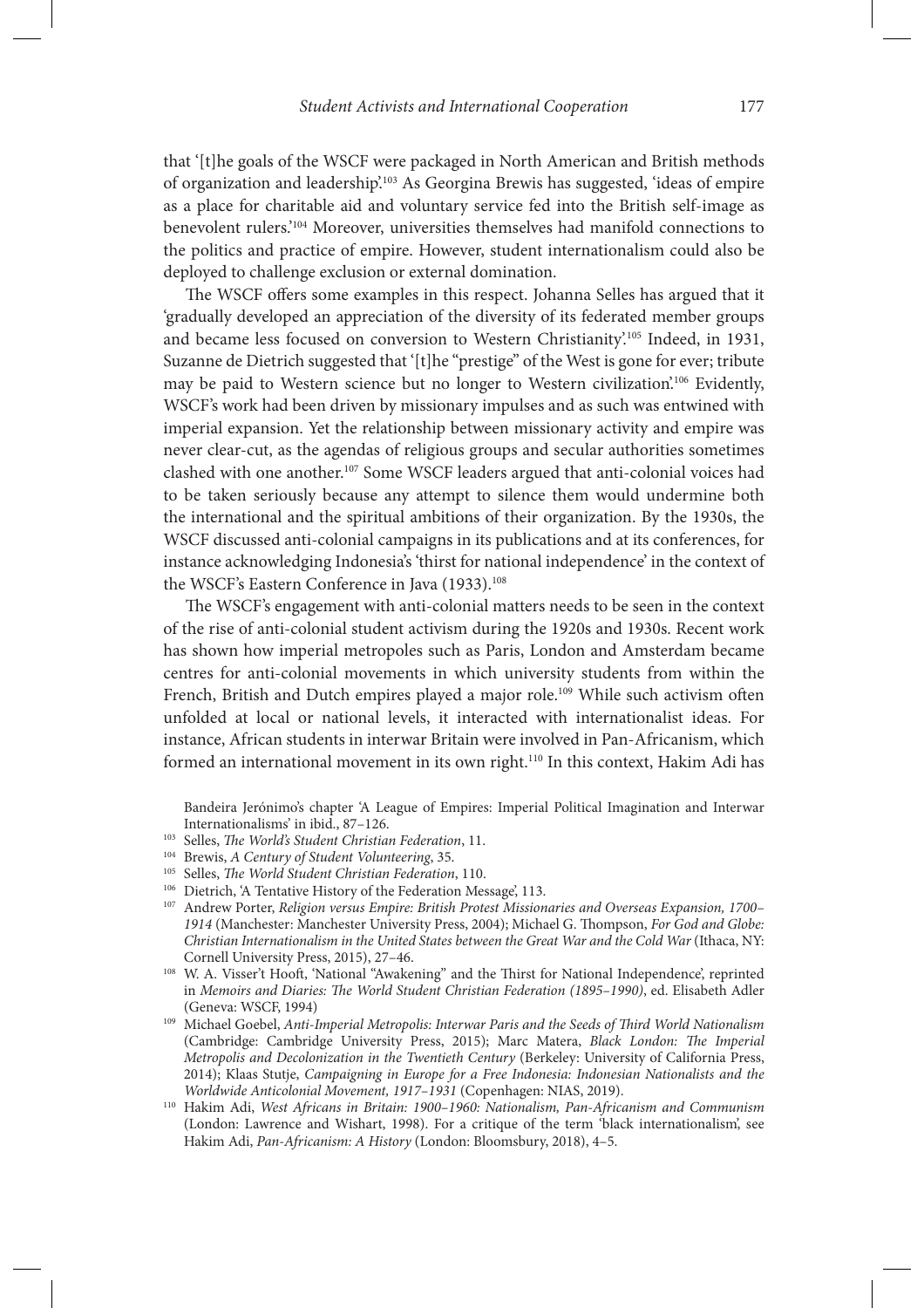that '[t]he goals of the WSCF were packaged in North American and British methods of organization and leadership'.103 As Georgina Brewis has suggested, 'ideas of empire as a place for charitable aid and voluntary service fed into the British self-image as benevolent rulers.'104 Moreover, universities themselves had manifold connections to the politics and practice of empire. However, student internationalism could also be deployed to challenge exclusion or external domination.

The WSCF offers some examples in this respect. Johanna Selles has argued that it 'gradually developed an appreciation of the diversity of its federated member groups and became less focused on conversion to Western Christianity'.105 Indeed, in 1931, Suzanne de Dietrich suggested that '[t]he "prestige" of the West is gone for ever; tribute may be paid to Western science but no longer to Western civilization.<sup>106</sup> Evidently, WSCF's work had been driven by missionary impulses and as such was entwined with imperial expansion. Yet the relationship between missionary activity and empire was never clear-cut, as the agendas of religious groups and secular authorities sometimes clashed with one another.107 Some WSCF leaders argued that anti-colonial voices had to be taken seriously because any attempt to silence them would undermine both the international and the spiritual ambitions of their organization. By the 1930s, the WSCF discussed anti-colonial campaigns in its publications and at its conferences, for instance acknowledging Indonesia's 'thirst for national independence' in the context of the WSCF's Eastern Conference in Java (1933).<sup>108</sup>

The WSCF's engagement with anti-colonial matters needs to be seen in the context of the rise of anti-colonial student activism during the 1920s and 1930s. Recent work has shown how imperial metropoles such as Paris, London and Amsterdam became centres for anti-colonial movements in which university students from within the French, British and Dutch empires played a major role.<sup>109</sup> While such activism often unfolded at local or national levels, it interacted with internationalist ideas. For instance, African students in interwar Britain were involved in Pan-Africanism, which formed an international movement in its own right.<sup>110</sup> In this context, Hakim Adi has

Bandeira Jerónimo's chapter 'A League of Empires: Imperial Political Imagination and Interwar Internationalisms' in ibid., 87–126.

- <sup>103</sup> Selles, *The World's Student Christian Federation*, 11.
- 104 Brewis, *A Century of Student Volunteering*, 35.
- <sup>105</sup> Selles, *The World Student Christian Federation*, 110.
- <sup>106</sup> Dietrich, 'A Tentative History of the Federation Message', 113.
- 107 Andrew Porter, *Religion versus Empire: British Protest Missionaries and Overseas Expansion, 1700–* 1914 (Manchester: Manchester University Press, 2004); Michael G. Thompson, *For God and Globe: Christian Internationalism in the United States between the Great War and the Cold War* (Ithaca, NY: Cornell University Press, 2015), 27–46.
- 108 W. A. Visser't Hooft, 'National "Awakening" and the Thirst for National Independence', reprinted in *Memoirs and Diaries: The World Student Christian Federation (1895-1990)*, ed. Elisabeth Adler (Geneva: WSCF, 1994)
- <sup>109</sup> Michael Goebel, Anti-Imperial Metropolis: Interwar Paris and the Seeds of Third World Nationalism (Cambridge: Cambridge University Press, 2015); Marc Matera, *Black London: The Imperial Metropolis and Decolonization in the Twentieth Century* (Berkeley: University of California Press, 2014); Klaas Stutje, *Campaigning in Europe for a Free Indonesia: Indonesian Nationalists and the Worldwide Anticolonial Movement, 1917–1931* (Copenhagen: NIAS, 2019).
- 110 Hakim Adi, *West Africans in Britain: 1900–1960: Nationalism, Pan-Africanism and Communism* (London: Lawrence and Wishart, 1998). For a critique of the term 'black internationalism', see Hakim Adi, *Pan-Africanism: A History* (London: Bloomsbury, 2018), 4–5.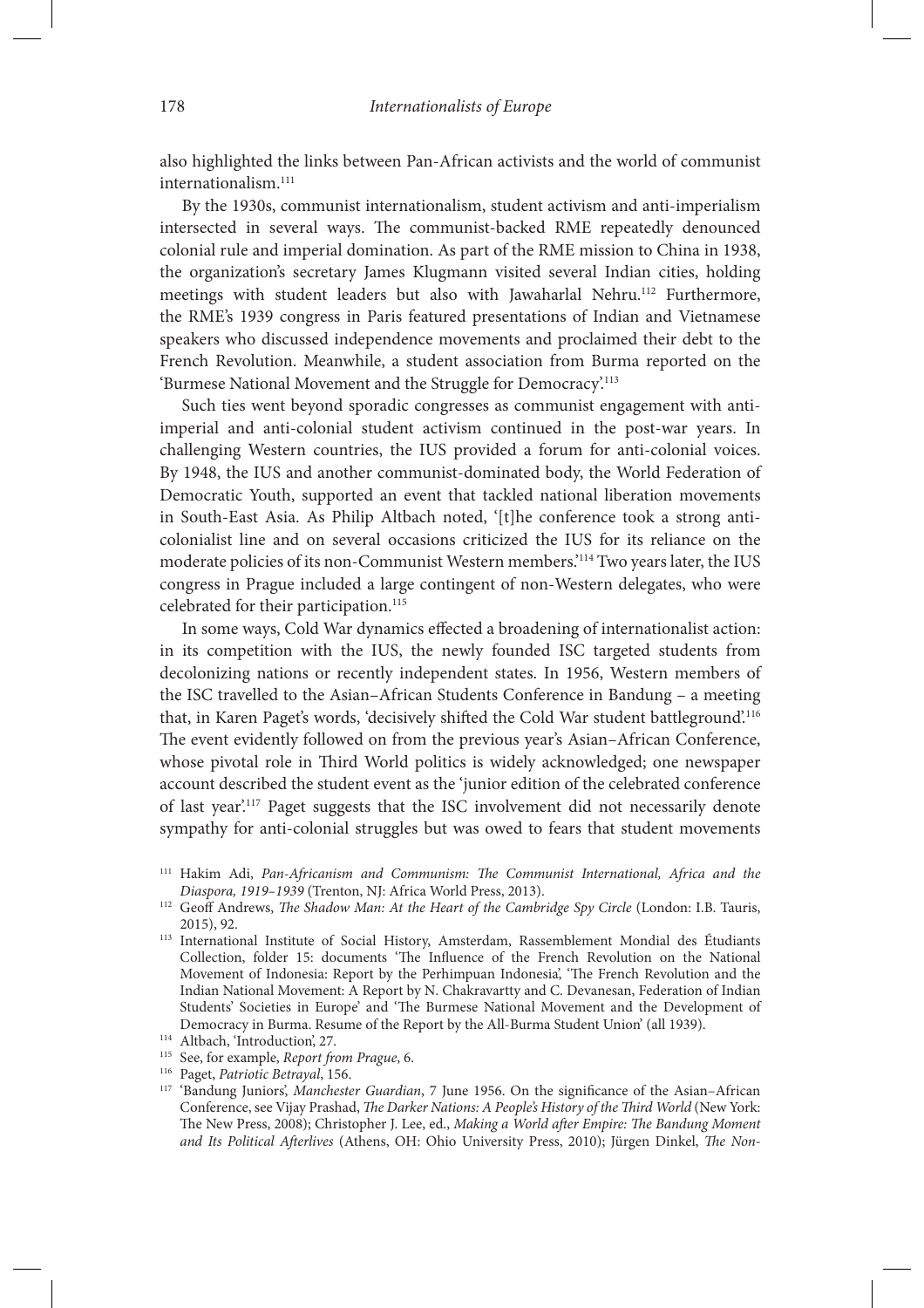also highlighted the links between Pan-African activists and the world of communist internationalism.111

By the 1930s, communist internationalism, student activism and anti-imperialism intersected in several ways. The communist-backed RME repeatedly denounced colonial rule and imperial domination. As part of the RME mission to China in 1938, the organization's secretary James Klugmann visited several Indian cities, holding meetings with student leaders but also with Jawaharlal Nehru.<sup>112</sup> Furthermore, the RME's 1939 congress in Paris featured presentations of Indian and Vietnamese speakers who discussed independence movements and proclaimed their debt to the French Revolution. Meanwhile, a student association from Burma reported on the 'Burmese National Movement and the Struggle for Democracy'.113

Such ties went beyond sporadic congresses as communist engagement with antiimperial and anti-colonial student activism continued in the post-war years. In challenging Western countries, the IUS provided a forum for anti-colonial voices. By 1948, the IUS and another communist-dominated body, the World Federation of Democratic Youth, supported an event that tackled national liberation movements in South-East Asia. As Philip Altbach noted, '[t]he conference took a strong anticolonialist line and on several occasions criticized the IUS for its reliance on the moderate policies of its non-Communist Western members.'114 Two years later, the IUS congress in Prague included a large contingent of non-Western delegates, who were celebrated for their participation.<sup>115</sup>

In some ways, Cold War dynamics effected a broadening of internationalist action: in its competition with the IUS, the newly founded ISC targeted students from decolonizing nations or recently independent states. In 1956, Western members of the ISC travelled to the Asian–African Students Conference in Bandung – a meeting that, in Karen Paget's words, 'decisively shifted the Cold War student battleground'.<sup>116</sup> The event evidently followed on from the previous year's Asian–African Conference, whose pivotal role in Third World politics is widely acknowledged; one newspaper account described the student event as the 'junior edition of the celebrated conference of last year'.117 Paget suggests that the ISC involvement did not necessarily denote sympathy for anti-colonial struggles but was owed to fears that student movements

<sup>&</sup>lt;sup>111</sup> Hakim Adi, *Pan-Africanism and Communism: The Communist International, Africa and the Diaspora, 1919–1939* (Trenton, NJ: Africa World Press, 2013).

<sup>&</sup>lt;sup>112</sup> Geoff Andrews, *The Shadow Man: At the Heart of the Cambridge Spy Circle* (London: I.B. Tauris, 2015), 92.

<sup>113</sup> International Institute of Social History, Amsterdam, Rassemblement Mondial des Étudiants Collection, folder 15: documents 'The Influence of the French Revolution on the National Movement of Indonesia: Report by the Perhimpuan Indonesia', 'The French Revolution and the Indian National Movement: A Report by N. Chakravartty and C. Devanesan, Federation of Indian Students' Societies in Europe' and 'The Burmese National Movement and the Development of Democracy in Burma. Resume of the Report by the All-Burma Student Union' (all 1939).

<sup>114</sup> Altbach, 'Introduction', 27.

<sup>115</sup> See, for example, *Report from Prague*, 6.

<sup>116</sup> Paget, *Patriotic Betrayal*, 156.

<sup>&</sup>lt;sup>117</sup> 'Bandung Juniors', *Manchester Guardian*, 7 June 1956. On the significance of the Asian-African Conference, see Vijay Prashad, *The Darker Nations: A People's History of the Third World* (New York: The New Press, 2008); Christopher J. Lee, ed., *Making a World after Empire: The Bandung Moment* and Its Political Afterlives (Athens, OH: Ohio University Press, 2010); Jürgen Dinkel, *The Non-*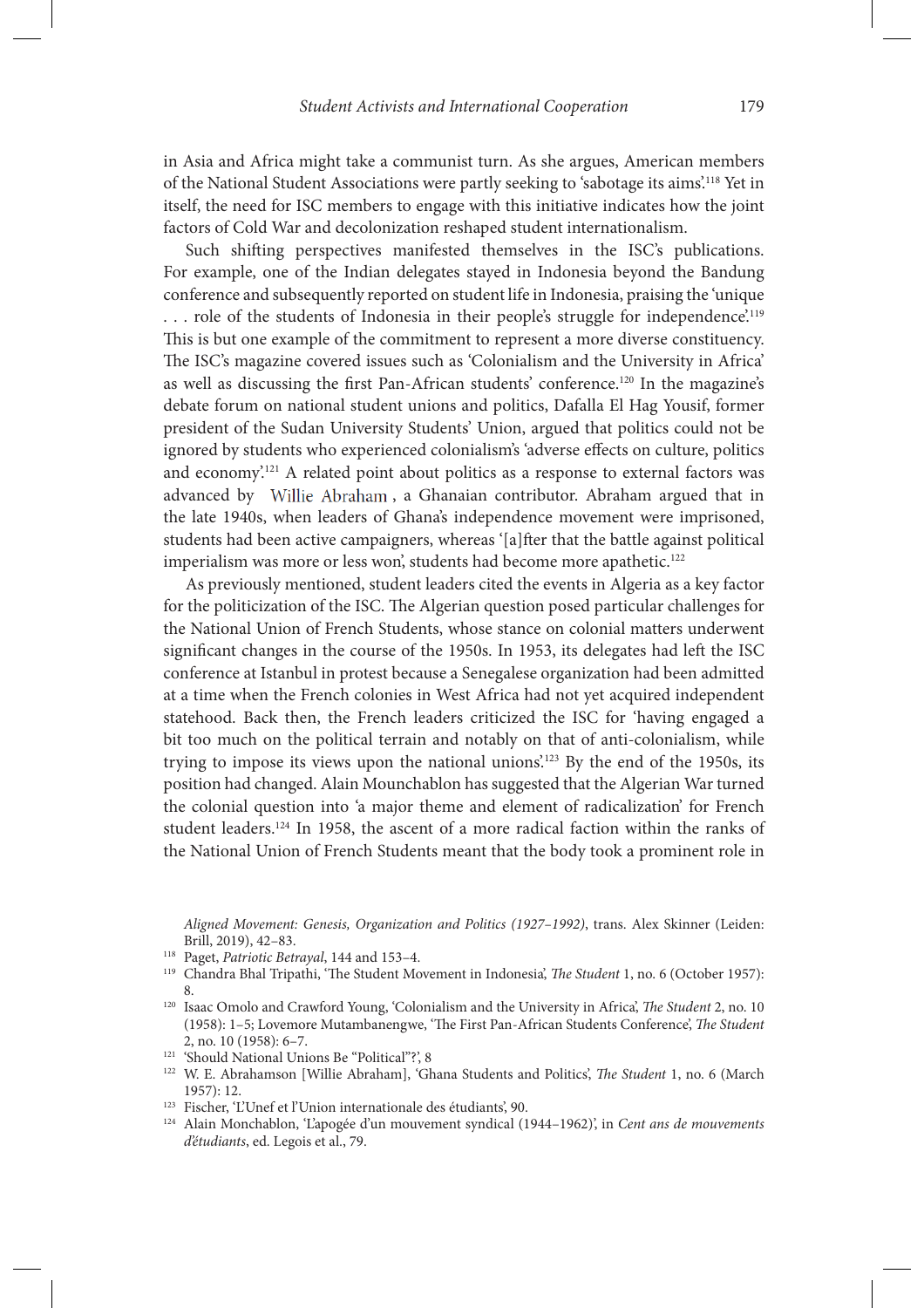in Asia and Africa might take a communist turn. As she argues, American members of the National Student Associations were partly seeking to 'sabotage its aims'.118 Yet in itself, the need for ISC members to engage with this initiative indicates how the joint factors of Cold War and decolonization reshaped student internationalism.

Such shifting perspectives manifested themselves in the ISC's publications. For example, one of the Indian delegates stayed in Indonesia beyond the Bandung conference and subsequently reported on student life in Indonesia, praising the 'unique ... role of the students of Indonesia in their people's struggle for independence'.<sup>119</sup> This is but one example of the commitment to represent a more diverse constituency. The ISC's magazine covered issues such as 'Colonialism and the University in Africa' as well as discussing the first Pan-African students' conference.<sup>120</sup> In the magazine's debate forum on national student unions and politics, Dafalla El Hag Yousif, former president of the Sudan University Students' Union, argued that politics could not be ignored by students who experienced colonialism's 'adverse effects on culture, politics and economy'.<sup>121</sup> A related point about politics as a response to external factors was advanced by Willie Abraham, a Ghanaian contributor. Abraham argued that in the late 1940s, when leaders of Ghana's independence movement were imprisoned, students had been active campaigners, whereas '[a] fter that the battle against political imperialism was more or less won', students had become more apathetic.<sup>122</sup>

As previously mentioned, student leaders cited the events in Algeria as a key factor for the politicization of the ISC. The Algerian question posed particular challenges for the National Union of French Students, whose stance on colonial matters underwent significant changes in the course of the 1950s. In 1953, its delegates had left the ISC conference at Istanbul in protest because a Senegalese organization had been admitted at a time when the French colonies in West Africa had not yet acquired independent statehood. Back then, the French leaders criticized the ISC for 'having engaged a bit too much on the political terrain and notably on that of anti-colonialism, while trying to impose its views upon the national unions'.123 By the end of the 1950s, its position had changed. Alain Mounchablon has suggested that the Algerian War turned the colonial question into 'a major theme and element of radicalization' for French student leaders.124 In 1958, the ascent of a more radical faction within the ranks of the National Union of French Students meant that the body took a prominent role in

123 Fischer, 'L'Unef et l'Union internationale des étudiants', 90.

*Aligned Movement: Genesis, Organization and Politics (1927–1992)*, trans. Alex Skinner (Leiden: Brill, 2019), 42–83.

<sup>118</sup> Paget, *Patriotic Betrayal*, 144 and 153–4.

<sup>&</sup>lt;sup>119</sup> Chandra Bhal Tripathi, 'The Student Movement in Indonesia', *The Student* 1, no. 6 (October 1957): 8.

<sup>&</sup>lt;sup>120</sup> Isaac Omolo and Crawford Young, 'Colonialism and the University in Africa', *The Student* 2, no. 10 (1958): 1-5; Lovemore Mutambanengwe, 'The First Pan-African Students Conference', The Student 2, no. 10 (1958): 6–7. 121 'Should National Unions Be "Political"?', 8

<sup>&</sup>lt;sup>122</sup> W. E. Abrahamson [Willie Abraham], 'Ghana Students and Politics', *The Student* 1, no. 6 (March 1957): 12.

<sup>124</sup> Alain Monchablon, 'L'apogée d'un mouvement syndical (1944–1962)', in *Cent ans de mouvements d'étudiants*, ed. Legois et al., 79.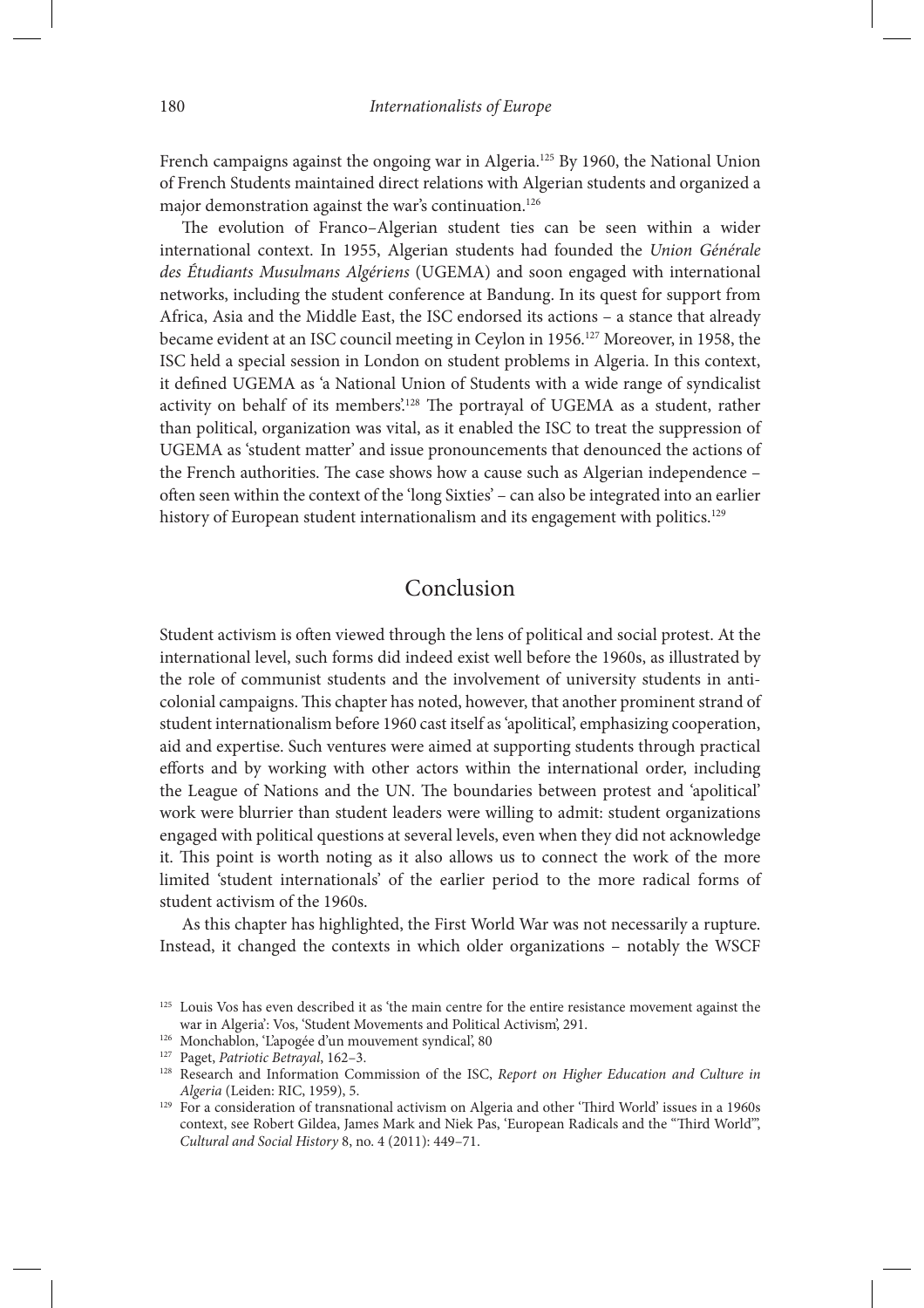French campaigns against the ongoing war in Algeria.<sup>125</sup> By 1960, the National Union of French Students maintained direct relations with Algerian students and organized a major demonstration against the war's continuation.<sup>126</sup>

The evolution of Franco-Algerian student ties can be seen within a wider international context. In 1955, Algerian students had founded the *Union Générale des Étudiants Musulmans Algériens* (UGEMA) and soon engaged with international networks, including the student conference at Bandung. In its quest for support from Africa, Asia and the Middle East, the ISC endorsed its actions – a stance that already became evident at an ISC council meeting in Ceylon in 1956.127 Moreover, in 1958, the ISC held a special session in London on student problems in Algeria. In this context, it defined UGEMA as 'a National Union of Students with a wide range of syndicalist activity on behalf of its members'.<sup>128</sup> The portrayal of UGEMA as a student, rather than political, organization was vital, as it enabled the ISC to treat the suppression of UGEMA as 'student matter' and issue pronouncements that denounced the actions of the French authorities. The case shows how a cause such as Algerian independence – often seen within the context of the 'long Sixties' - can also be integrated into an earlier history of European student internationalism and its engagement with politics.<sup>129</sup>

# Conclusion

Student activism is often viewed through the lens of political and social protest. At the international level, such forms did indeed exist well before the 1960s, as illustrated by the role of communist students and the involvement of university students in anticolonial campaigns. This chapter has noted, however, that another prominent strand of student internationalism before 1960 cast itself as 'apolitical', emphasizing cooperation, aid and expertise. Such ventures were aimed at supporting students through practical efforts and by working with other actors within the international order, including the League of Nations and the UN. The boundaries between protest and 'apolitical' work were blurrier than student leaders were willing to admit: student organizations engaged with political questions at several levels, even when they did not acknowledge it. This point is worth noting as it also allows us to connect the work of the more limited 'student internationals' of the earlier period to the more radical forms of student activism of the 1960s.

As this chapter has highlighted, the First World War was not necessarily a rupture. Instead, it changed the contexts in which older organizations – notably the WSCF

<sup>&</sup>lt;sup>125</sup> Louis Vos has even described it as 'the main centre for the entire resistance movement against the war in Algeria': Vos, 'Student Movements and Political Activism', 291.

<sup>126</sup> Monchablon, 'L'apogée d'un mouvement syndical', 80

<sup>127</sup> Paget, *Patriotic Betrayal*, 162–3.

<sup>128</sup> Research and Information Commission of the ISC, *Report on Higher Education and Culture in Algeria* (Leiden: RIC, 1959), 5.

<sup>&</sup>lt;sup>129</sup> For a consideration of transnational activism on Algeria and other 'Third World' issues in a 1960s context, see Robert Gildea, James Mark and Niek Pas, 'European Radicals and the "Third World", *Cultural and Social History* 8, no. 4 (2011): 449–71.